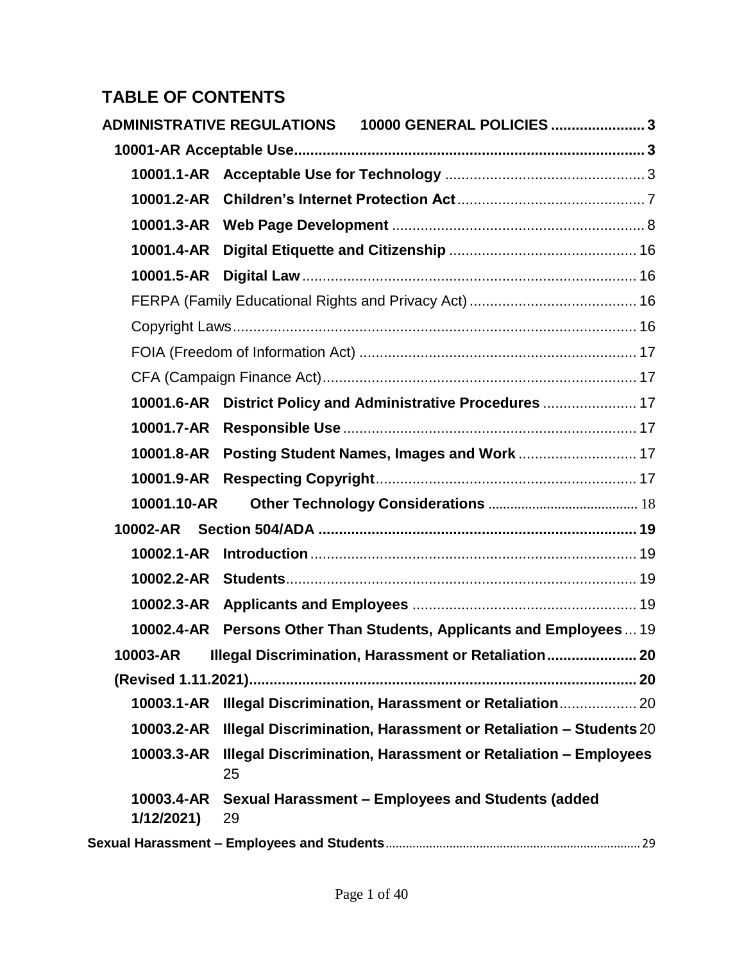# **TABLE OF CONTENTS**

|             | ADMINISTRATIVE REGULATIONS 10000 GENERAL POLICIES  3                 |  |  |  |
|-------------|----------------------------------------------------------------------|--|--|--|
|             |                                                                      |  |  |  |
|             |                                                                      |  |  |  |
| 10001.2-AR  |                                                                      |  |  |  |
|             |                                                                      |  |  |  |
| 10001.4-AR  |                                                                      |  |  |  |
| 10001.5-AR  |                                                                      |  |  |  |
|             |                                                                      |  |  |  |
|             |                                                                      |  |  |  |
|             |                                                                      |  |  |  |
|             |                                                                      |  |  |  |
| 10001.6-AR  | District Policy and Administrative Procedures  17                    |  |  |  |
| 10001.7-AR  |                                                                      |  |  |  |
| 10001.8-AR  | Posting Student Names, Images and Work  17                           |  |  |  |
| 10001.9-AR  |                                                                      |  |  |  |
| 10001.10-AR |                                                                      |  |  |  |
|             |                                                                      |  |  |  |
| 10002.1-AR  |                                                                      |  |  |  |
| 10002.2-AR  |                                                                      |  |  |  |
|             |                                                                      |  |  |  |
|             | 10002.4-AR Persons Other Than Students, Applicants and Employees  19 |  |  |  |
| 10003-AR    |                                                                      |  |  |  |
|             |                                                                      |  |  |  |
| 10003.1-AR  | Illegal Discrimination, Harassment or Retaliation 20                 |  |  |  |
|             |                                                                      |  |  |  |
| 10003.2-AR  | Illegal Discrimination, Harassment or Retaliation - Students 20      |  |  |  |
| 10003.3-AR  | Illegal Discrimination, Harassment or Retaliation - Employees<br>25  |  |  |  |
| 1/12/2021)  | 10003.4-AR Sexual Harassment - Employees and Students (added<br>29   |  |  |  |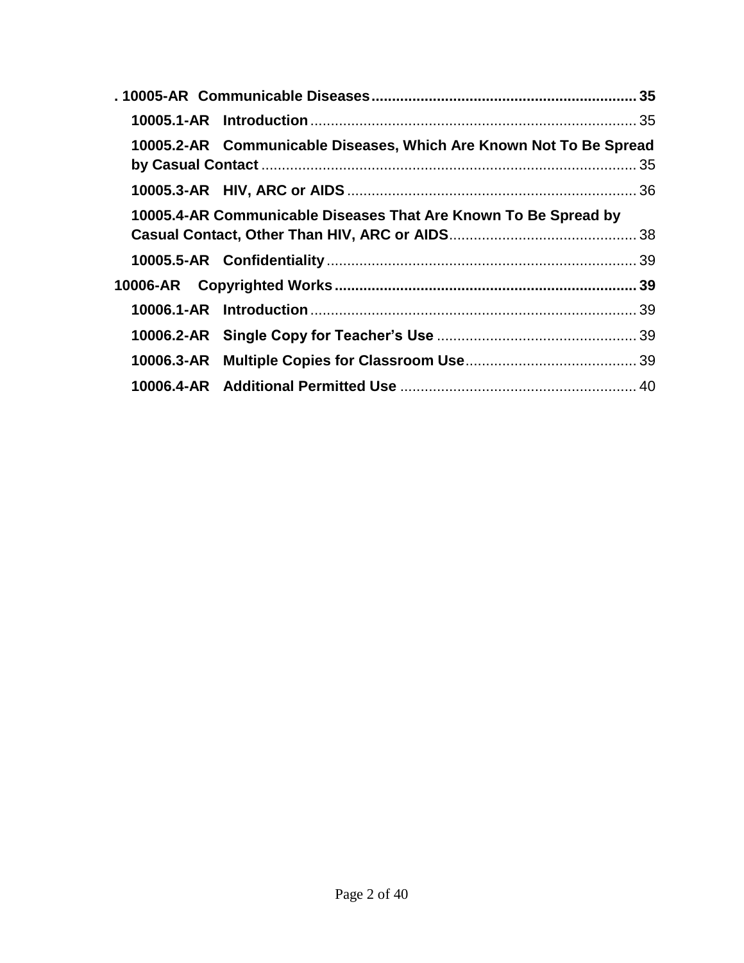|                                                                 | 10005.2-AR Communicable Diseases, Which Are Known Not To Be Spread |  |
|-----------------------------------------------------------------|--------------------------------------------------------------------|--|
|                                                                 |                                                                    |  |
| 10005.4-AR Communicable Diseases That Are Known To Be Spread by |                                                                    |  |
|                                                                 |                                                                    |  |
|                                                                 |                                                                    |  |
|                                                                 |                                                                    |  |
|                                                                 |                                                                    |  |
|                                                                 |                                                                    |  |
|                                                                 |                                                                    |  |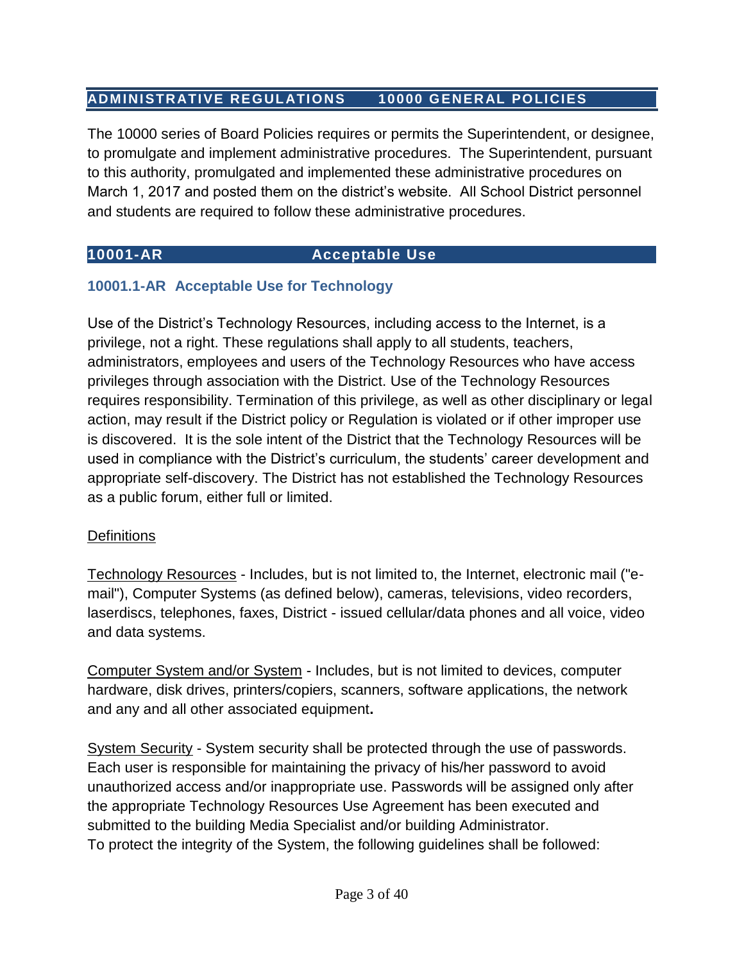# <span id="page-2-0"></span>**ADMINISTRATIVE REGULATIONS 10000 GENERAL POLICIES**

The 10000 series of Board Policies requires or permits the Superintendent, or designee, to promulgate and implement administrative procedures. The Superintendent, pursuant to this authority, promulgated and implemented these administrative procedures on March 1, 2017 and posted them on the district's website. All School District personnel and students are required to follow these administrative procedures.

#### <span id="page-2-1"></span>**10001-AR Acceptable Use**

## <span id="page-2-2"></span>**10001.1-AR Acceptable Use for Technology**

Use of the District's Technology Resources, including access to the Internet, is a privilege, not a right. These regulations shall apply to all students, teachers, administrators, employees and users of the Technology Resources who have access privileges through association with the District. Use of the Technology Resources requires responsibility. Termination of this privilege, as well as other disciplinary or legal action, may result if the District policy or Regulation is violated or if other improper use is discovered. It is the sole intent of the District that the Technology Resources will be used in compliance with the District's curriculum, the students' career development and appropriate self-discovery. The District has not established the Technology Resources as a public forum, either full or limited.

#### **Definitions**

Technology Resources - Includes, but is not limited to, the Internet, electronic mail ("email"), Computer Systems (as defined below), cameras, televisions, video recorders, laserdiscs, telephones, faxes, District - issued cellular/data phones and all voice, video and data systems.

Computer System and/or System - Includes, but is not limited to devices, computer hardware, disk drives, printers/copiers, scanners, software applications, the network and any and all other associated equipment**.** 

System Security - System security shall be protected through the use of passwords. Each user is responsible for maintaining the privacy of his/her password to avoid unauthorized access and/or inappropriate use. Passwords will be assigned only after the appropriate Technology Resources Use Agreement has been executed and submitted to the building Media Specialist and/or building Administrator. To protect the integrity of the System, the following guidelines shall be followed: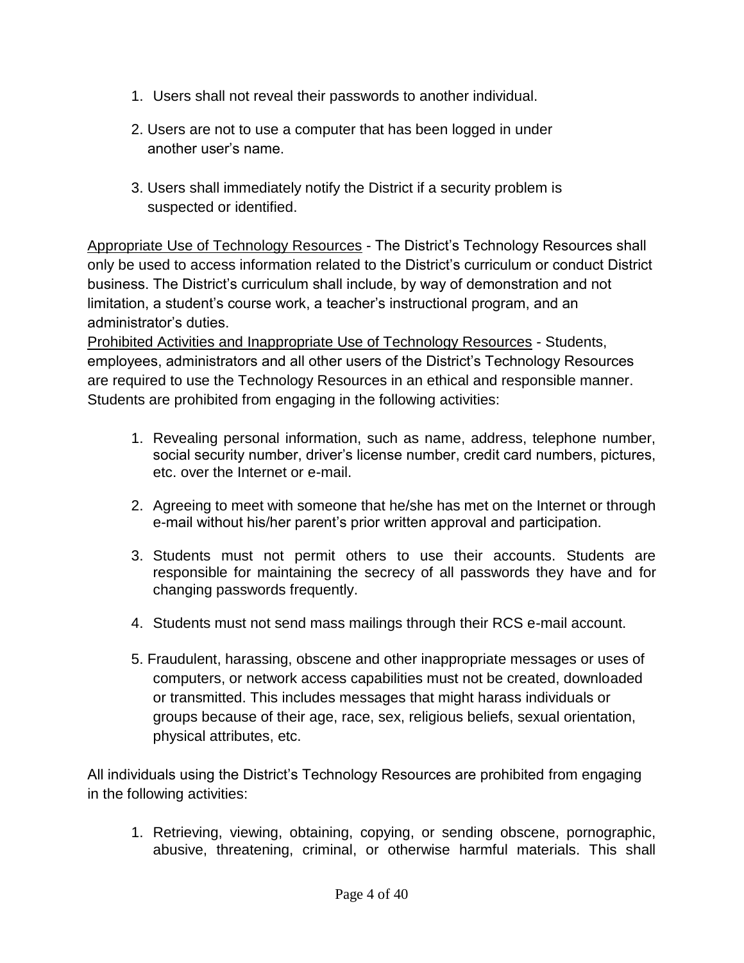- 1. Users shall not reveal their passwords to another individual.
- 2. Users are not to use a computer that has been logged in under another user's name.
- 3. Users shall immediately notify the District if a security problem is suspected or identified.

Appropriate Use of Technology Resources - The District's Technology Resources shall only be used to access information related to the District's curriculum or conduct District business. The District's curriculum shall include, by way of demonstration and not limitation, a student's course work, a teacher's instructional program, and an administrator's duties.

Prohibited Activities and Inappropriate Use of Technology Resources - Students, employees, administrators and all other users of the District's Technology Resources are required to use the Technology Resources in an ethical and responsible manner. Students are prohibited from engaging in the following activities:

- 1. Revealing personal information, such as name, address, telephone number, social security number, driver's license number, credit card numbers, pictures, etc. over the Internet or e-mail.
- 2. Agreeing to meet with someone that he/she has met on the Internet or through e-mail without his/her parent's prior written approval and participation.
- 3. Students must not permit others to use their accounts. Students are responsible for maintaining the secrecy of all passwords they have and for changing passwords frequently.
- 4. Students must not send mass mailings through their RCS e-mail account.
- 5. Fraudulent, harassing, obscene and other inappropriate messages or uses of computers, or network access capabilities must not be created, downloaded or transmitted. This includes messages that might harass individuals or groups because of their age, race, sex, religious beliefs, sexual orientation, physical attributes, etc.

All individuals using the District's Technology Resources are prohibited from engaging in the following activities:

1. Retrieving, viewing, obtaining, copying, or sending obscene, pornographic, abusive, threatening, criminal, or otherwise harmful materials. This shall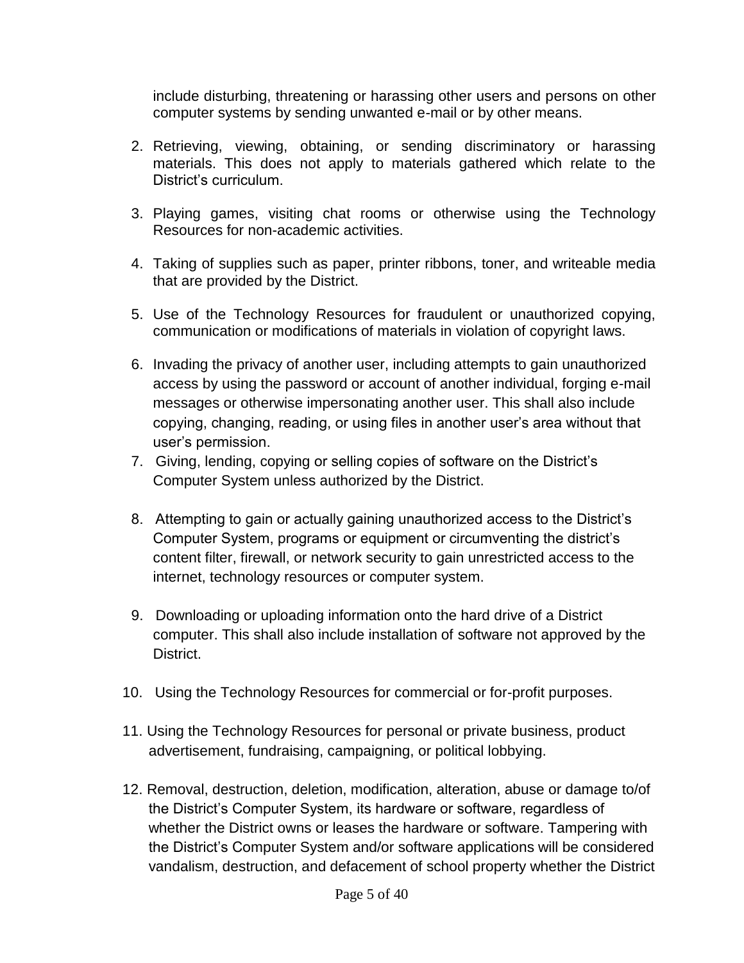include disturbing, threatening or harassing other users and persons on other computer systems by sending unwanted e-mail or by other means.

- 2. Retrieving, viewing, obtaining, or sending discriminatory or harassing materials. This does not apply to materials gathered which relate to the District's curriculum.
- 3. Playing games, visiting chat rooms or otherwise using the Technology Resources for non-academic activities.
- 4. Taking of supplies such as paper, printer ribbons, toner, and writeable media that are provided by the District.
- 5. Use of the Technology Resources for fraudulent or unauthorized copying, communication or modifications of materials in violation of copyright laws.
- 6. Invading the privacy of another user, including attempts to gain unauthorized access by using the password or account of another individual, forging e-mail messages or otherwise impersonating another user. This shall also include copying, changing, reading, or using files in another user's area without that user's permission.
- 7. Giving, lending, copying or selling copies of software on the District's Computer System unless authorized by the District.
- 8. Attempting to gain or actually gaining unauthorized access to the District's Computer System, programs or equipment or circumventing the district's content filter, firewall, or network security to gain unrestricted access to the internet, technology resources or computer system.
- 9. Downloading or uploading information onto the hard drive of a District computer. This shall also include installation of software not approved by the District.
- 10. Using the Technology Resources for commercial or for-profit purposes.
- 11. Using the Technology Resources for personal or private business, product advertisement, fundraising, campaigning, or political lobbying.
- 12. Removal, destruction, deletion, modification, alteration, abuse or damage to/of the District's Computer System, its hardware or software, regardless of whether the District owns or leases the hardware or software. Tampering with the District's Computer System and/or software applications will be considered vandalism, destruction, and defacement of school property whether the District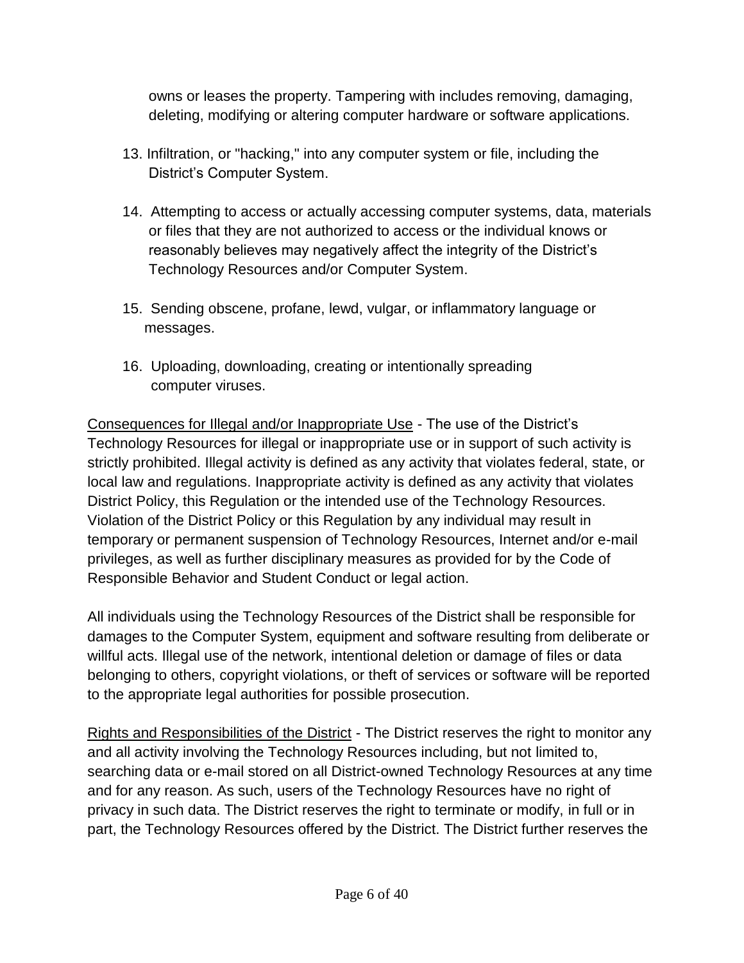owns or leases the property. Tampering with includes removing, damaging, deleting, modifying or altering computer hardware or software applications.

- 13. Infiltration, or "hacking," into any computer system or file, including the District's Computer System.
- 14. Attempting to access or actually accessing computer systems, data, materials or files that they are not authorized to access or the individual knows or reasonably believes may negatively affect the integrity of the District's Technology Resources and/or Computer System.
- 15. Sending obscene, profane, lewd, vulgar, or inflammatory language or messages.
- 16. Uploading, downloading, creating or intentionally spreading computer viruses.

Consequences for Illegal and/or Inappropriate Use - The use of the District's Technology Resources for illegal or inappropriate use or in support of such activity is strictly prohibited. Illegal activity is defined as any activity that violates federal, state, or local law and regulations. Inappropriate activity is defined as any activity that violates District Policy, this Regulation or the intended use of the Technology Resources. Violation of the District Policy or this Regulation by any individual may result in temporary or permanent suspension of Technology Resources, Internet and/or e-mail privileges, as well as further disciplinary measures as provided for by the Code of Responsible Behavior and Student Conduct or legal action.

All individuals using the Technology Resources of the District shall be responsible for damages to the Computer System, equipment and software resulting from deliberate or willful acts. Illegal use of the network, intentional deletion or damage of files or data belonging to others, copyright violations, or theft of services or software will be reported to the appropriate legal authorities for possible prosecution.

Rights and Responsibilities of the District - The District reserves the right to monitor any and all activity involving the Technology Resources including, but not limited to, searching data or e-mail stored on all District-owned Technology Resources at any time and for any reason. As such, users of the Technology Resources have no right of privacy in such data. The District reserves the right to terminate or modify, in full or in part, the Technology Resources offered by the District. The District further reserves the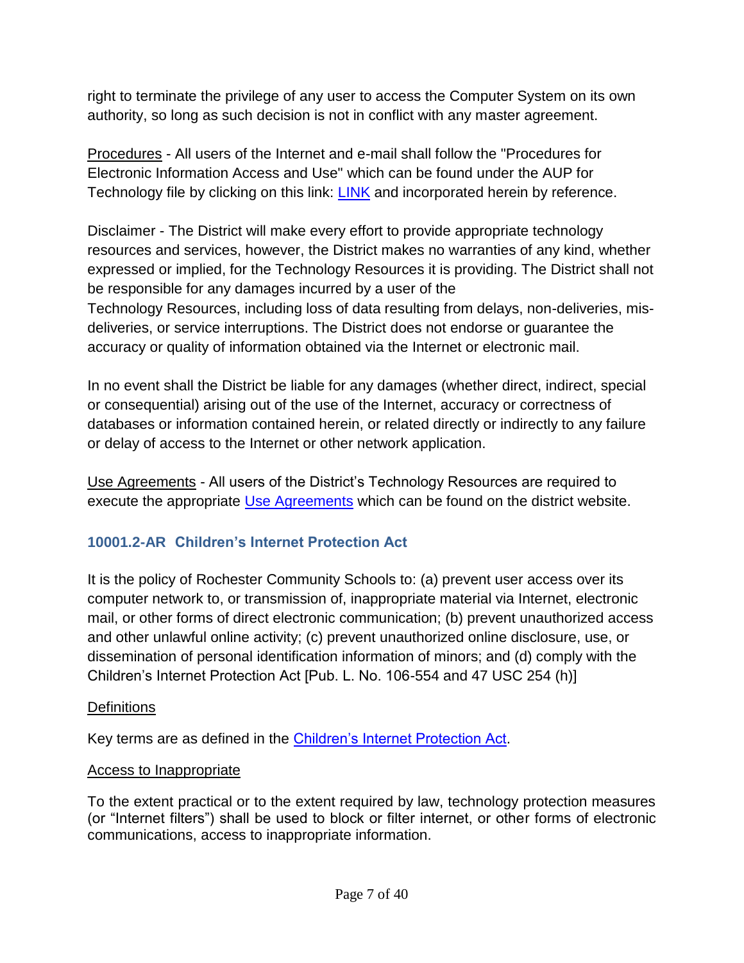right to terminate the privilege of any user to access the Computer System on its own authority, so long as such decision is not in conflict with any master agreement.

Procedures - All users of the Internet and e-mail shall follow the "Procedures for Electronic Information Access and Use" which can be found under the AUP for Technology file by clicking on this link: **LINK** and incorporated herein by reference.

Disclaimer - The District will make every effort to provide appropriate technology resources and services, however, the District makes no warranties of any kind, whether expressed or implied, for the Technology Resources it is providing. The District shall not be responsible for any damages incurred by a user of the Technology Resources, including loss of data resulting from delays, non-deliveries, misdeliveries, or service interruptions. The District does not endorse or guarantee the accuracy or quality of information obtained via the Internet or electronic mail.

In no event shall the District be liable for any damages (whether direct, indirect, special or consequential) arising out of the use of the Internet, accuracy or correctness of databases or information contained herein, or related directly or indirectly to any failure or delay of access to the Internet or other network application.

Use Agreements - All users of the District's Technology Resources are required to execute the appropriate [Use Agreements](https://rochesterk12mius.finalsite.com/fs/resource-manager/view/0850f3e7-0872-4520-8c4b-a9a6ec5947ab) which can be found on the district website.

## <span id="page-6-0"></span>**10001.2-AR Children's Internet Protection Act**

It is the policy of Rochester Community Schools to: (a) prevent user access over its computer network to, or transmission of, inappropriate material via Internet, electronic mail, or other forms of direct electronic communication; (b) prevent unauthorized access and other unlawful online activity; (c) prevent unauthorized online disclosure, use, or dissemination of personal identification information of minors; and (d) comply with the Children's Internet Protection Act [Pub. L. No. 106-554 and 47 USC 254 (h)]

## **Definitions**

Key terms are as defined in the [Children's Internet Protection Act.](https://www.fcc.gov/consumers/guides/childrens-internet-protection-act)

#### Access to Inappropriate

To the extent practical or to the extent required by law, technology protection measures (or "Internet filters") shall be used to block or filter internet, or other forms of electronic communications, access to inappropriate information.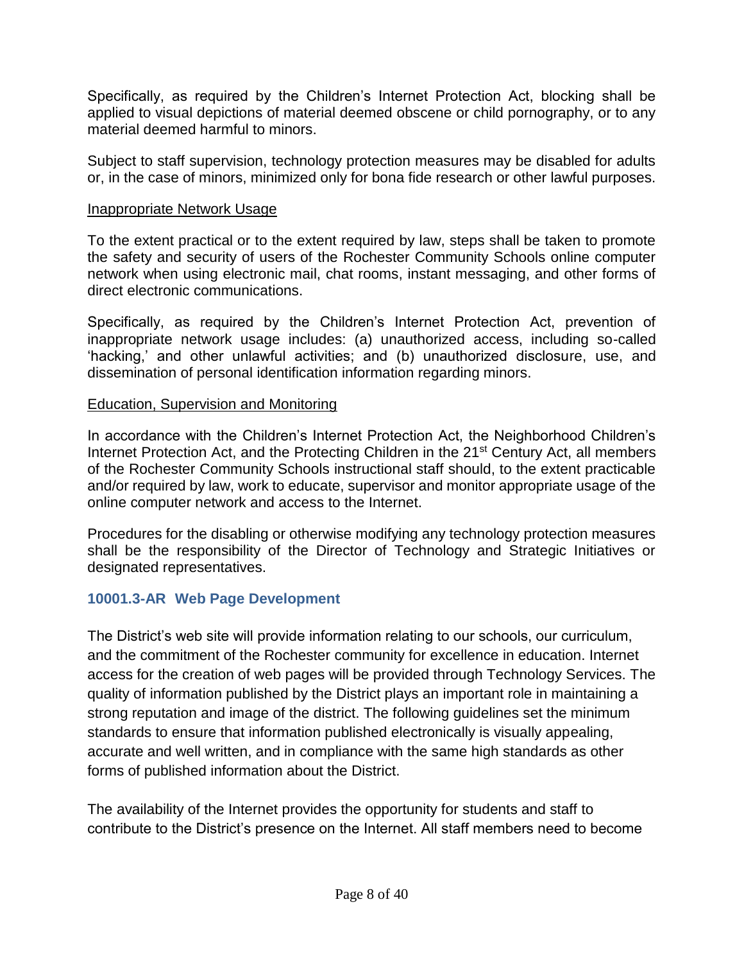Specifically, as required by the Children's Internet Protection Act, blocking shall be applied to visual depictions of material deemed obscene or child pornography, or to any material deemed harmful to minors.

Subject to staff supervision, technology protection measures may be disabled for adults or, in the case of minors, minimized only for bona fide research or other lawful purposes.

#### Inappropriate Network Usage

To the extent practical or to the extent required by law, steps shall be taken to promote the safety and security of users of the Rochester Community Schools online computer network when using electronic mail, chat rooms, instant messaging, and other forms of direct electronic communications.

Specifically, as required by the Children's Internet Protection Act, prevention of inappropriate network usage includes: (a) unauthorized access, including so-called 'hacking,' and other unlawful activities; and (b) unauthorized disclosure, use, and dissemination of personal identification information regarding minors.

#### Education, Supervision and Monitoring

In accordance with the Children's Internet Protection Act, the Neighborhood Children's Internet Protection Act, and the Protecting Children in the 21<sup>st</sup> Century Act, all members of the Rochester Community Schools instructional staff should, to the extent practicable and/or required by law, work to educate, supervisor and monitor appropriate usage of the online computer network and access to the Internet.

Procedures for the disabling or otherwise modifying any technology protection measures shall be the responsibility of the Director of Technology and Strategic Initiatives or designated representatives.

## <span id="page-7-0"></span>**10001.3-AR Web Page Development**

The District's web site will provide information relating to our schools, our curriculum, and the commitment of the Rochester community for excellence in education. Internet access for the creation of web pages will be provided through Technology Services. The quality of information published by the District plays an important role in maintaining a strong reputation and image of the district. The following guidelines set the minimum standards to ensure that information published electronically is visually appealing, accurate and well written, and in compliance with the same high standards as other forms of published information about the District.

The availability of the Internet provides the opportunity for students and staff to contribute to the District's presence on the Internet. All staff members need to become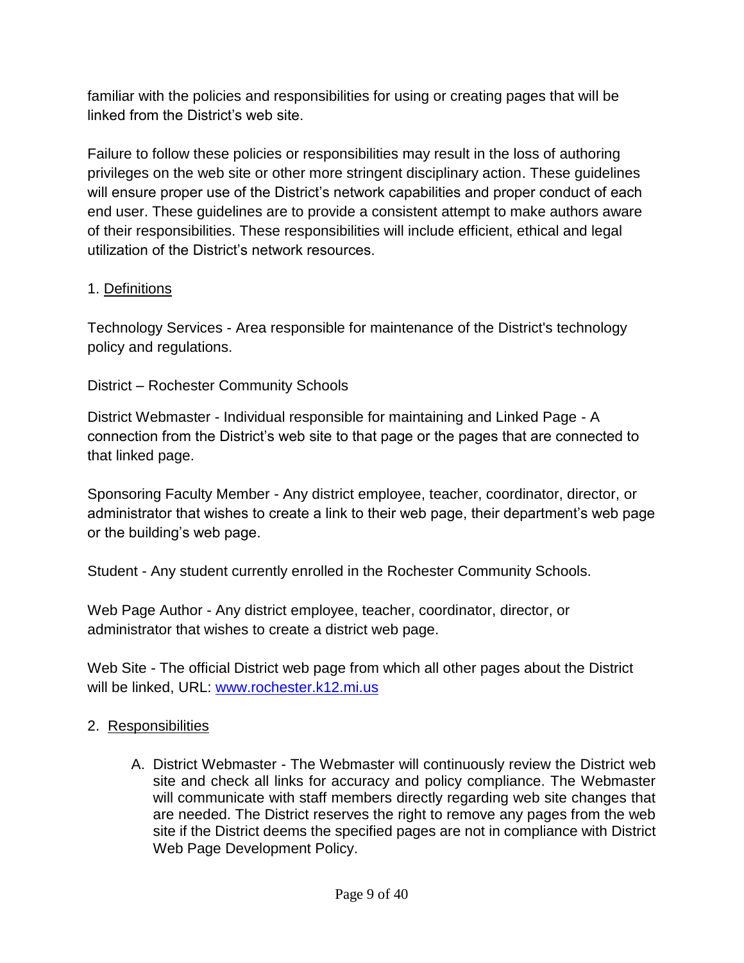familiar with the policies and responsibilities for using or creating pages that will be linked from the District's web site.

Failure to follow these policies or responsibilities may result in the loss of authoring privileges on the web site or other more stringent disciplinary action. These guidelines will ensure proper use of the District's network capabilities and proper conduct of each end user. These guidelines are to provide a consistent attempt to make authors aware of their responsibilities. These responsibilities will include efficient, ethical and legal utilization of the District's network resources.

## 1. Definitions

Technology Services - Area responsible for maintenance of the District's technology policy and regulations.

## District – Rochester Community Schools

District Webmaster - Individual responsible for maintaining and Linked Page - A connection from the District's web site to that page or the pages that are connected to that linked page.

Sponsoring Faculty Member - Any district employee, teacher, coordinator, director, or administrator that wishes to create a link to their web page, their department's web page or the building's web page.

Student - Any student currently enrolled in the Rochester Community Schools.

Web Page Author - Any district employee, teacher, coordinator, director, or administrator that wishes to create a district web page.

Web Site - The official District web page from which all other pages about the District will be linked, URL: [www.rochester.k12.mi.us](http://www.rochester.k12.mi.us/)

## 2. Responsibilities

A. District Webmaster - The Webmaster will continuously review the District web site and check all links for accuracy and policy compliance. The Webmaster will communicate with staff members directly regarding web site changes that are needed. The District reserves the right to remove any pages from the web site if the District deems the specified pages are not in compliance with District Web Page Development Policy.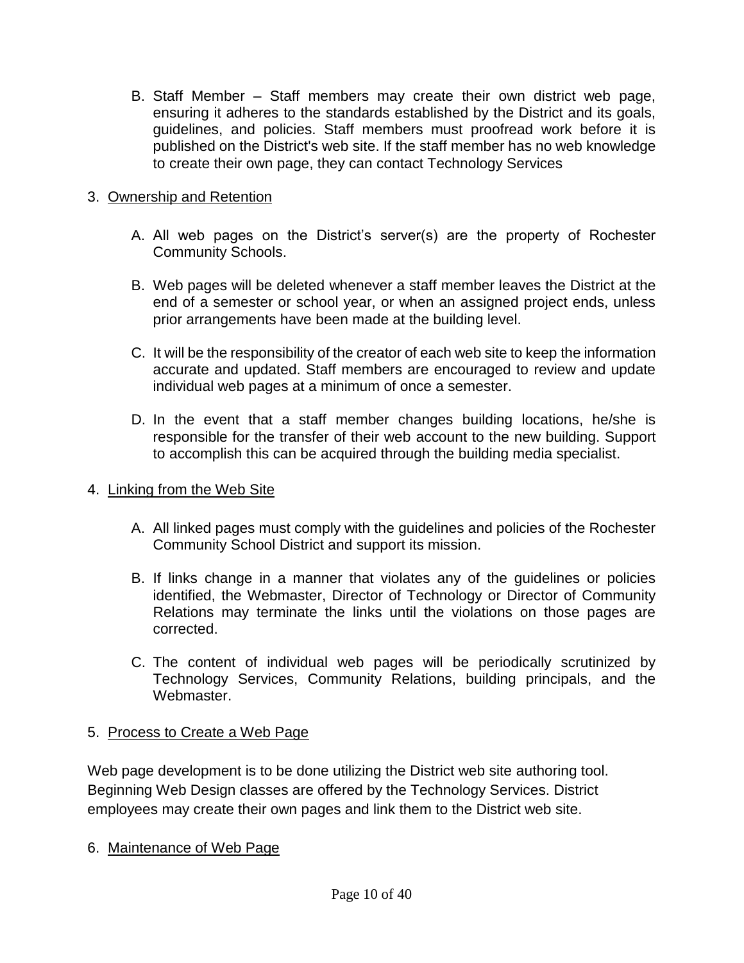B. Staff Member – Staff members may create their own district web page, ensuring it adheres to the standards established by the District and its goals, guidelines, and policies. Staff members must proofread work before it is published on the District's web site. If the staff member has no web knowledge to create their own page, they can contact Technology Services

## 3. Ownership and Retention

- A. All web pages on the District's server(s) are the property of Rochester Community Schools.
- B. Web pages will be deleted whenever a staff member leaves the District at the end of a semester or school year, or when an assigned project ends, unless prior arrangements have been made at the building level.
- C. It will be the responsibility of the creator of each web site to keep the information accurate and updated. Staff members are encouraged to review and update individual web pages at a minimum of once a semester.
- D. In the event that a staff member changes building locations, he/she is responsible for the transfer of their web account to the new building. Support to accomplish this can be acquired through the building media specialist.

## 4. Linking from the Web Site

- A. All linked pages must comply with the guidelines and policies of the Rochester Community School District and support its mission.
- B. If links change in a manner that violates any of the guidelines or policies identified, the Webmaster, Director of Technology or Director of Community Relations may terminate the links until the violations on those pages are corrected.
- C. The content of individual web pages will be periodically scrutinized by Technology Services, Community Relations, building principals, and the Webmaster.

## 5. Process to Create a Web Page

Web page development is to be done utilizing the District web site authoring tool. Beginning Web Design classes are offered by the Technology Services. District employees may create their own pages and link them to the District web site.

## 6. Maintenance of Web Page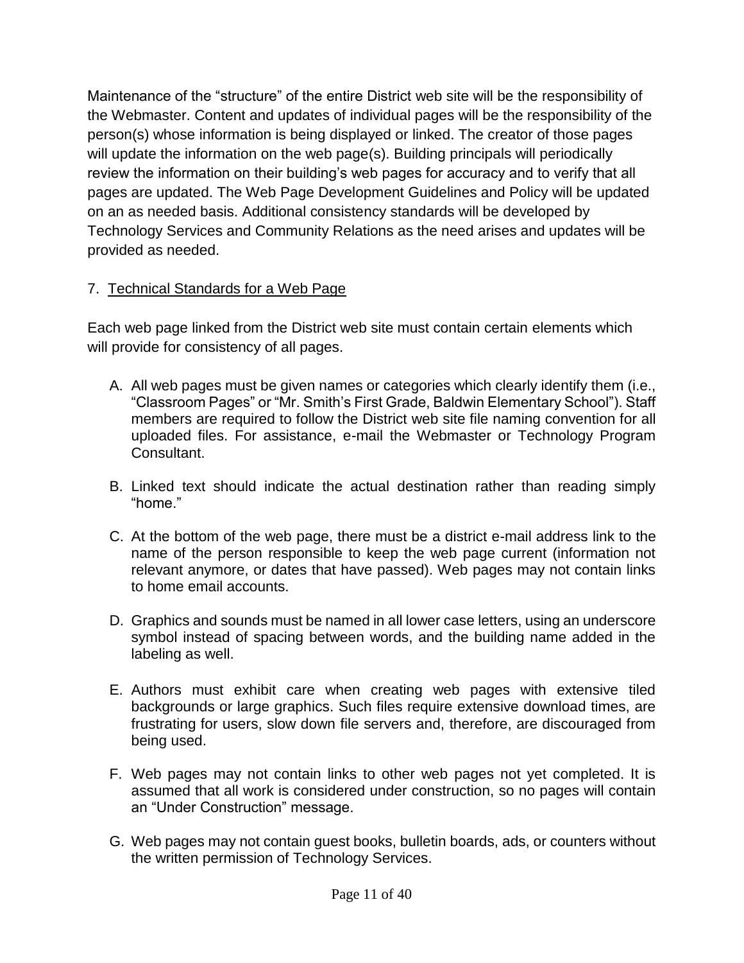Maintenance of the "structure" of the entire District web site will be the responsibility of the Webmaster. Content and updates of individual pages will be the responsibility of the person(s) whose information is being displayed or linked. The creator of those pages will update the information on the web page(s). Building principals will periodically review the information on their building's web pages for accuracy and to verify that all pages are updated. The Web Page Development Guidelines and Policy will be updated on an as needed basis. Additional consistency standards will be developed by Technology Services and Community Relations as the need arises and updates will be provided as needed.

## 7. Technical Standards for a Web Page

Each web page linked from the District web site must contain certain elements which will provide for consistency of all pages.

- A. All web pages must be given names or categories which clearly identify them (i.e., "Classroom Pages" or "Mr. Smith's First Grade, Baldwin Elementary School"). Staff members are required to follow the District web site file naming convention for all uploaded files. For assistance, e-mail the Webmaster or Technology Program Consultant.
- B. Linked text should indicate the actual destination rather than reading simply "home."
- C. At the bottom of the web page, there must be a district e-mail address link to the name of the person responsible to keep the web page current (information not relevant anymore, or dates that have passed). Web pages may not contain links to home email accounts.
- D. Graphics and sounds must be named in all lower case letters, using an underscore symbol instead of spacing between words, and the building name added in the labeling as well.
- E. Authors must exhibit care when creating web pages with extensive tiled backgrounds or large graphics. Such files require extensive download times, are frustrating for users, slow down file servers and, therefore, are discouraged from being used.
- F. Web pages may not contain links to other web pages not yet completed. It is assumed that all work is considered under construction, so no pages will contain an "Under Construction" message.
- G. Web pages may not contain guest books, bulletin boards, ads, or counters without the written permission of Technology Services.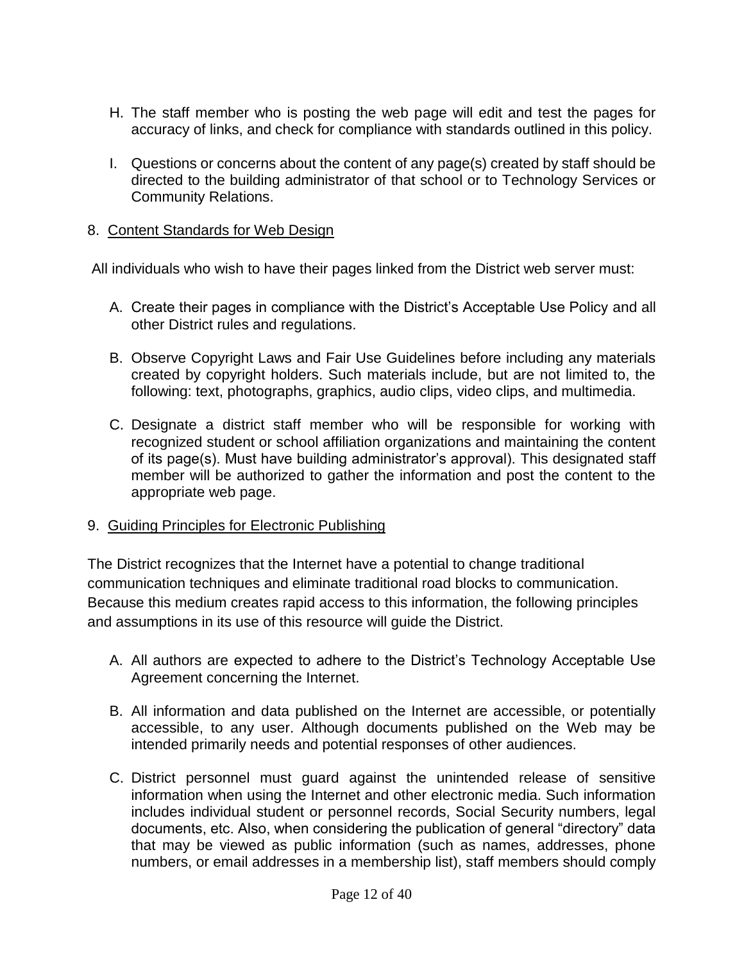- H. The staff member who is posting the web page will edit and test the pages for accuracy of links, and check for compliance with standards outlined in this policy.
- I. Questions or concerns about the content of any page(s) created by staff should be directed to the building administrator of that school or to Technology Services or Community Relations.

#### 8. Content Standards for Web Design

All individuals who wish to have their pages linked from the District web server must:

- A. Create their pages in compliance with the District's Acceptable Use Policy and all other District rules and regulations.
- B. Observe Copyright Laws and Fair Use Guidelines before including any materials created by copyright holders. Such materials include, but are not limited to, the following: text, photographs, graphics, audio clips, video clips, and multimedia.
- C. Designate a district staff member who will be responsible for working with recognized student or school affiliation organizations and maintaining the content of its page(s). Must have building administrator's approval). This designated staff member will be authorized to gather the information and post the content to the appropriate web page.

#### 9. Guiding Principles for Electronic Publishing

The District recognizes that the Internet have a potential to change traditional communication techniques and eliminate traditional road blocks to communication. Because this medium creates rapid access to this information, the following principles and assumptions in its use of this resource will guide the District.

- A. All authors are expected to adhere to the District's Technology Acceptable Use Agreement concerning the Internet.
- B. All information and data published on the Internet are accessible, or potentially accessible, to any user. Although documents published on the Web may be intended primarily needs and potential responses of other audiences.
- C. District personnel must guard against the unintended release of sensitive information when using the Internet and other electronic media. Such information includes individual student or personnel records, Social Security numbers, legal documents, etc. Also, when considering the publication of general "directory" data that may be viewed as public information (such as names, addresses, phone numbers, or email addresses in a membership list), staff members should comply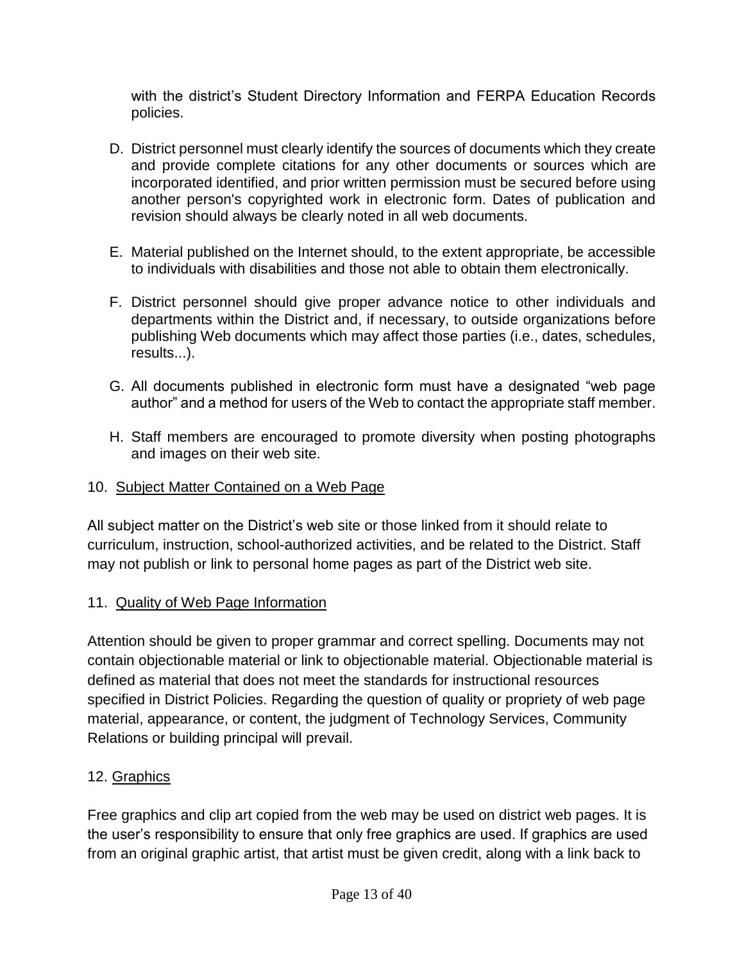with the district's Student Directory Information and FERPA Education Records policies.

- D. District personnel must clearly identify the sources of documents which they create and provide complete citations for any other documents or sources which are incorporated identified, and prior written permission must be secured before using another person's copyrighted work in electronic form. Dates of publication and revision should always be clearly noted in all web documents.
- E. Material published on the Internet should, to the extent appropriate, be accessible to individuals with disabilities and those not able to obtain them electronically.
- F. District personnel should give proper advance notice to other individuals and departments within the District and, if necessary, to outside organizations before publishing Web documents which may affect those parties (i.e., dates, schedules, results...).
- G. All documents published in electronic form must have a designated "web page author" and a method for users of the Web to contact the appropriate staff member.
- H. Staff members are encouraged to promote diversity when posting photographs and images on their web site.

## 10. Subject Matter Contained on a Web Page

All subject matter on the District's web site or those linked from it should relate to curriculum, instruction, school-authorized activities, and be related to the District. Staff may not publish or link to personal home pages as part of the District web site.

#### 11. Quality of Web Page Information

Attention should be given to proper grammar and correct spelling. Documents may not contain objectionable material or link to objectionable material. Objectionable material is defined as material that does not meet the standards for instructional resources specified in District Policies. Regarding the question of quality or propriety of web page material, appearance, or content, the judgment of Technology Services, Community Relations or building principal will prevail.

#### 12. Graphics

Free graphics and clip art copied from the web may be used on district web pages. It is the user's responsibility to ensure that only free graphics are used. If graphics are used from an original graphic artist, that artist must be given credit, along with a link back to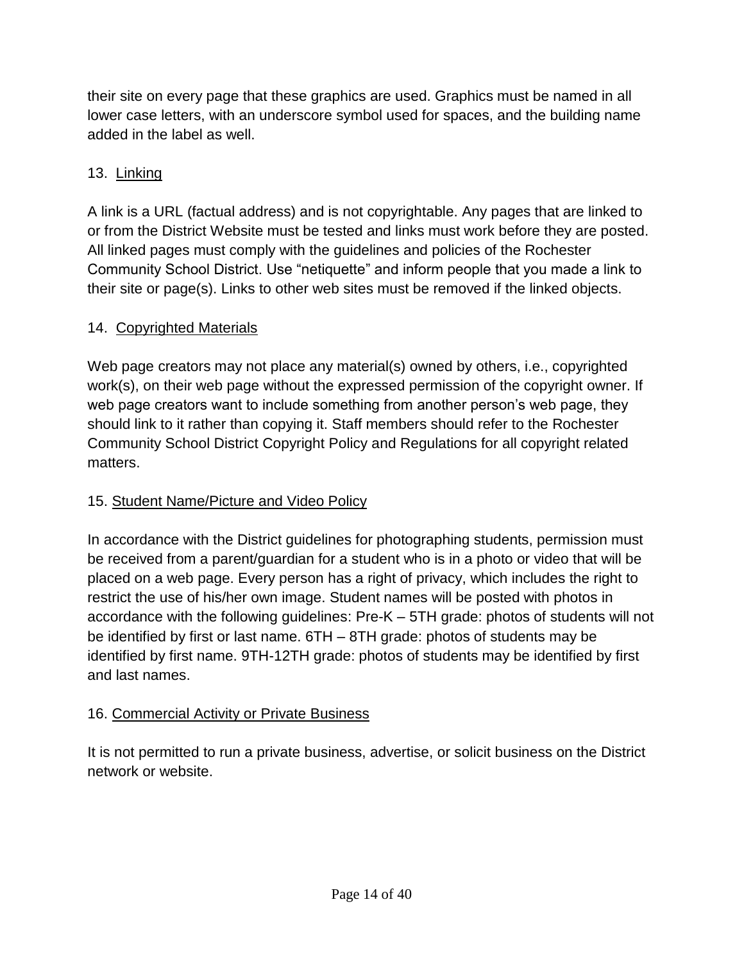their site on every page that these graphics are used. Graphics must be named in all lower case letters, with an underscore symbol used for spaces, and the building name added in the label as well.

# 13. Linking

A link is a URL (factual address) and is not copyrightable. Any pages that are linked to or from the District Website must be tested and links must work before they are posted. All linked pages must comply with the guidelines and policies of the Rochester Community School District. Use "netiquette" and inform people that you made a link to their site or page(s). Links to other web sites must be removed if the linked objects.

# 14. Copyrighted Materials

Web page creators may not place any material(s) owned by others, i.e., copyrighted work(s), on their web page without the expressed permission of the copyright owner. If web page creators want to include something from another person's web page, they should link to it rather than copying it. Staff members should refer to the Rochester Community School District Copyright Policy and Regulations for all copyright related matters.

# 15. Student Name/Picture and Video Policy

In accordance with the District guidelines for photographing students, permission must be received from a parent/guardian for a student who is in a photo or video that will be placed on a web page. Every person has a right of privacy, which includes the right to restrict the use of his/her own image. Student names will be posted with photos in accordance with the following guidelines: Pre-K – 5TH grade: photos of students will not be identified by first or last name. 6TH – 8TH grade: photos of students may be identified by first name. 9TH-12TH grade: photos of students may be identified by first and last names.

# 16. Commercial Activity or Private Business

It is not permitted to run a private business, advertise, or solicit business on the District network or website.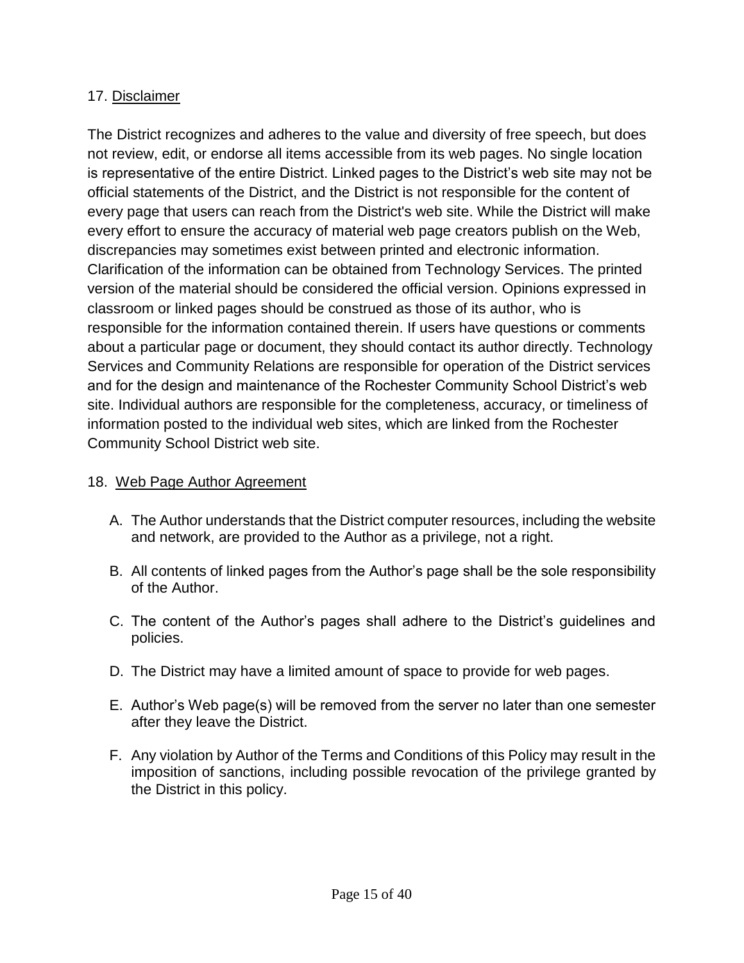## 17. Disclaimer

The District recognizes and adheres to the value and diversity of free speech, but does not review, edit, or endorse all items accessible from its web pages. No single location is representative of the entire District. Linked pages to the District's web site may not be official statements of the District, and the District is not responsible for the content of every page that users can reach from the District's web site. While the District will make every effort to ensure the accuracy of material web page creators publish on the Web, discrepancies may sometimes exist between printed and electronic information. Clarification of the information can be obtained from Technology Services. The printed version of the material should be considered the official version. Opinions expressed in classroom or linked pages should be construed as those of its author, who is responsible for the information contained therein. If users have questions or comments about a particular page or document, they should contact its author directly. Technology Services and Community Relations are responsible for operation of the District services and for the design and maintenance of the Rochester Community School District's web site. Individual authors are responsible for the completeness, accuracy, or timeliness of information posted to the individual web sites, which are linked from the Rochester Community School District web site.

#### 18. Web Page Author Agreement

- A. The Author understands that the District computer resources, including the website and network, are provided to the Author as a privilege, not a right.
- B. All contents of linked pages from the Author's page shall be the sole responsibility of the Author.
- C. The content of the Author's pages shall adhere to the District's guidelines and policies.
- D. The District may have a limited amount of space to provide for web pages.
- E. Author's Web page(s) will be removed from the server no later than one semester after they leave the District.
- F. Any violation by Author of the Terms and Conditions of this Policy may result in the imposition of sanctions, including possible revocation of the privilege granted by the District in this policy.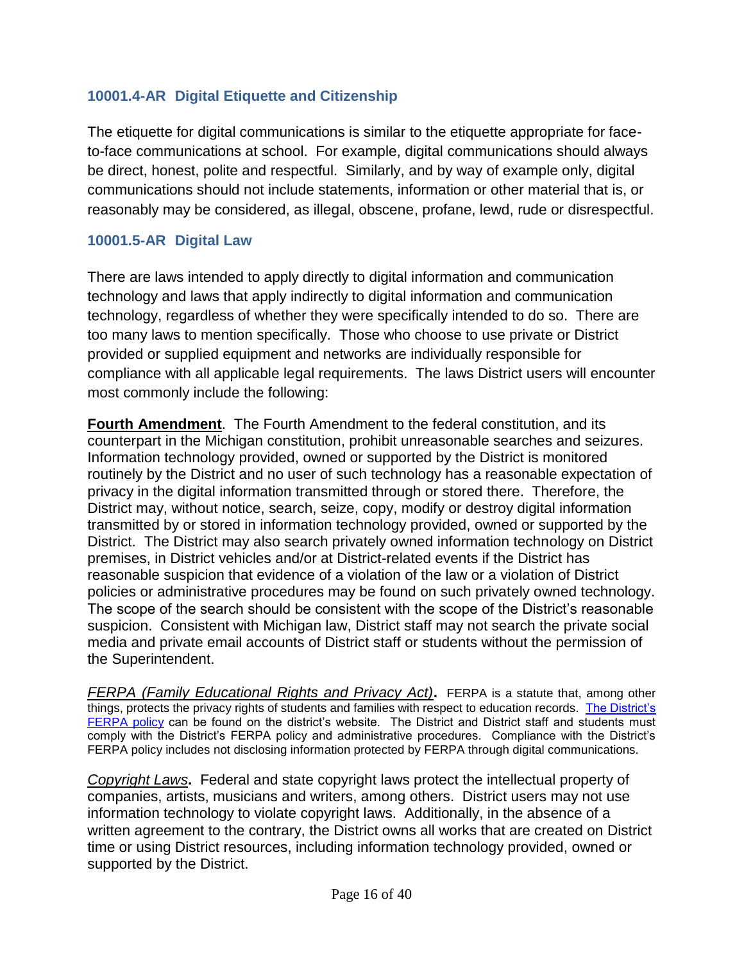## <span id="page-15-0"></span>**10001.4-AR Digital Etiquette and Citizenship**

The etiquette for digital communications is similar to the etiquette appropriate for faceto-face communications at school. For example, digital communications should always be direct, honest, polite and respectful. Similarly, and by way of example only, digital communications should not include statements, information or other material that is, or reasonably may be considered, as illegal, obscene, profane, lewd, rude or disrespectful.

## <span id="page-15-1"></span>**10001.5-AR Digital Law**

There are laws intended to apply directly to digital information and communication technology and laws that apply indirectly to digital information and communication technology, regardless of whether they were specifically intended to do so. There are too many laws to mention specifically. Those who choose to use private or District provided or supplied equipment and networks are individually responsible for compliance with all applicable legal requirements. The laws District users will encounter most commonly include the following:

**Fourth Amendment**. The Fourth Amendment to the federal constitution, and its counterpart in the Michigan constitution, prohibit unreasonable searches and seizures. Information technology provided, owned or supported by the District is monitored routinely by the District and no user of such technology has a reasonable expectation of privacy in the digital information transmitted through or stored there. Therefore, the District may, without notice, search, seize, copy, modify or destroy digital information transmitted by or stored in information technology provided, owned or supported by the District. The District may also search privately owned information technology on District premises, in District vehicles and/or at District-related events if the District has reasonable suspicion that evidence of a violation of the law or a violation of District policies or administrative procedures may be found on such privately owned technology. The scope of the search should be consistent with the scope of the District's reasonable suspicion. Consistent with Michigan law, District staff may not search the private social media and private email accounts of District staff or students without the permission of the Superintendent.

<span id="page-15-2"></span>*FERPA (Family Educational Rights and Privacy Act)***.** FERPA is a statute that, among other things, protects the privacy rights of students and families with respect to education records. [The District's](https://www.rochester.k12.mi.us/about-us/departments/human-resources/policies)  [FERPA policy](https://www.rochester.k12.mi.us/about-us/departments/human-resources/policies) can be found on the district's website. The District and District staff and students must comply with the District's FERPA policy and administrative procedures. Compliance with the District's FERPA policy includes not disclosing information protected by FERPA through digital communications.

<span id="page-15-3"></span>*Copyright Laws***.** Federal and state copyright laws protect the intellectual property of companies, artists, musicians and writers, among others. District users may not use information technology to violate copyright laws. Additionally, in the absence of a written agreement to the contrary, the District owns all works that are created on District time or using District resources, including information technology provided, owned or supported by the District.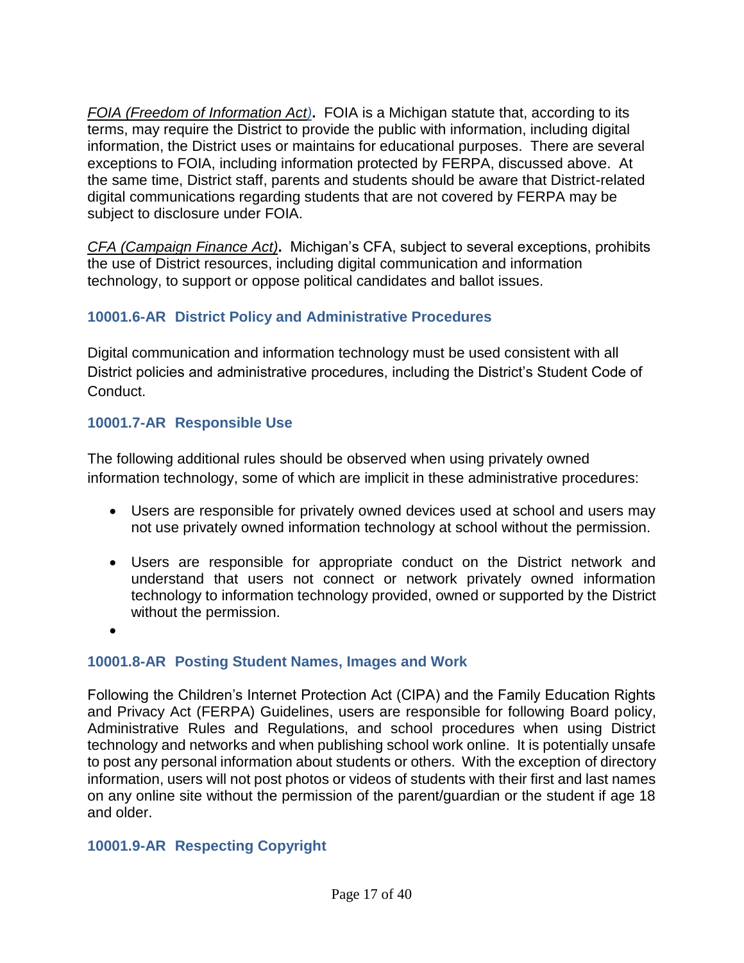<span id="page-16-0"></span>*FOIA (Freedom of Information Act)***.** FOIA is a Michigan statute that, according to its terms, may require the District to provide the public with information, including digital information, the District uses or maintains for educational purposes. There are several exceptions to FOIA, including information protected by FERPA, discussed above. At the same time, District staff, parents and students should be aware that District-related digital communications regarding students that are not covered by FERPA may be subject to disclosure under FOIA.

<span id="page-16-1"></span>*CFA (Campaign Finance Act)***.** Michigan's CFA, subject to several exceptions, prohibits the use of District resources, including digital communication and information technology, to support or oppose political candidates and ballot issues.

# <span id="page-16-2"></span>**10001.6-AR District Policy and Administrative Procedures**

Digital communication and information technology must be used consistent with all District policies and administrative procedures, including the District's Student Code of Conduct.

# <span id="page-16-3"></span>**10001.7-AR Responsible Use**

The following additional rules should be observed when using privately owned information technology, some of which are implicit in these administrative procedures:

- Users are responsible for privately owned devices used at school and users may not use privately owned information technology at school without the permission.
- Users are responsible for appropriate conduct on the District network and understand that users not connect or network privately owned information technology to information technology provided, owned or supported by the District without the permission.
- $\bullet$

# <span id="page-16-4"></span>**10001.8-AR Posting Student Names, Images and Work**

Following the Children's Internet Protection Act (CIPA) and the Family Education Rights and Privacy Act (FERPA) Guidelines, users are responsible for following Board policy, Administrative Rules and Regulations, and school procedures when using District technology and networks and when publishing school work online. It is potentially unsafe to post any personal information about students or others. With the exception of directory information, users will not post photos or videos of students with their first and last names on any online site without the permission of the parent/guardian or the student if age 18 and older.

## <span id="page-16-5"></span>**10001.9-AR Respecting Copyright**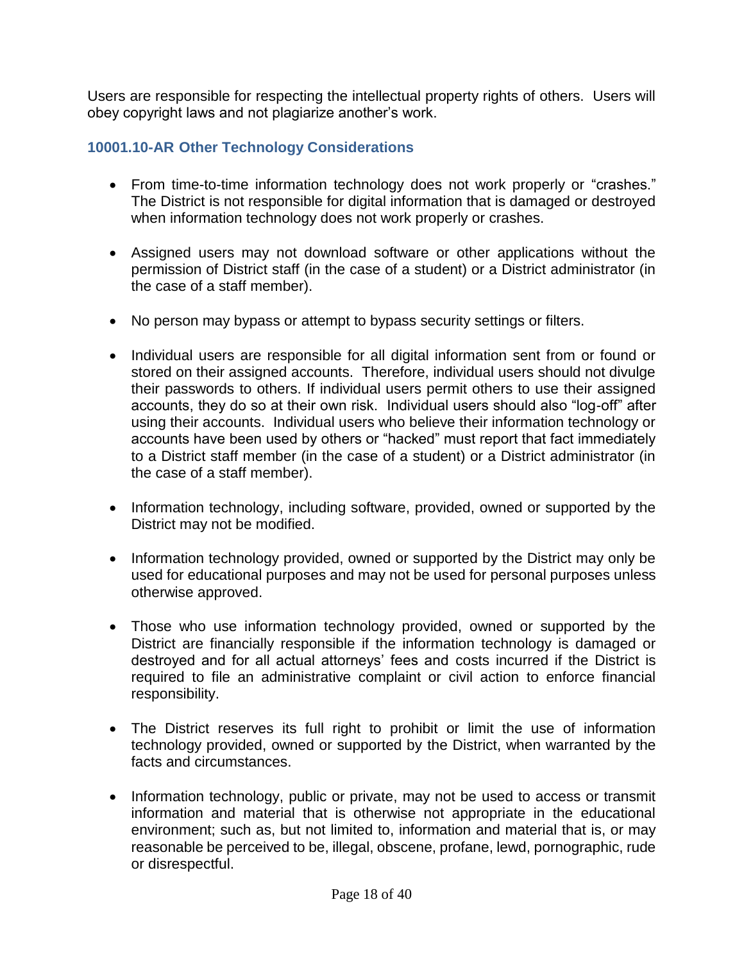Users are responsible for respecting the intellectual property rights of others. Users will obey copyright laws and not plagiarize another's work.

## <span id="page-17-0"></span>**10001.10-AR Other Technology Considerations**

- From time-to-time information technology does not work properly or "crashes." The District is not responsible for digital information that is damaged or destroyed when information technology does not work properly or crashes.
- Assigned users may not download software or other applications without the permission of District staff (in the case of a student) or a District administrator (in the case of a staff member).
- No person may bypass or attempt to bypass security settings or filters.
- Individual users are responsible for all digital information sent from or found or stored on their assigned accounts. Therefore, individual users should not divulge their passwords to others. If individual users permit others to use their assigned accounts, they do so at their own risk. Individual users should also "log-off" after using their accounts. Individual users who believe their information technology or accounts have been used by others or "hacked" must report that fact immediately to a District staff member (in the case of a student) or a District administrator (in the case of a staff member).
- Information technology, including software, provided, owned or supported by the District may not be modified.
- Information technology provided, owned or supported by the District may only be used for educational purposes and may not be used for personal purposes unless otherwise approved.
- Those who use information technology provided, owned or supported by the District are financially responsible if the information technology is damaged or destroyed and for all actual attorneys' fees and costs incurred if the District is required to file an administrative complaint or civil action to enforce financial responsibility.
- The District reserves its full right to prohibit or limit the use of information technology provided, owned or supported by the District, when warranted by the facts and circumstances.
- Information technology, public or private, may not be used to access or transmit information and material that is otherwise not appropriate in the educational environment; such as, but not limited to, information and material that is, or may reasonable be perceived to be, illegal, obscene, profane, lewd, pornographic, rude or disrespectful.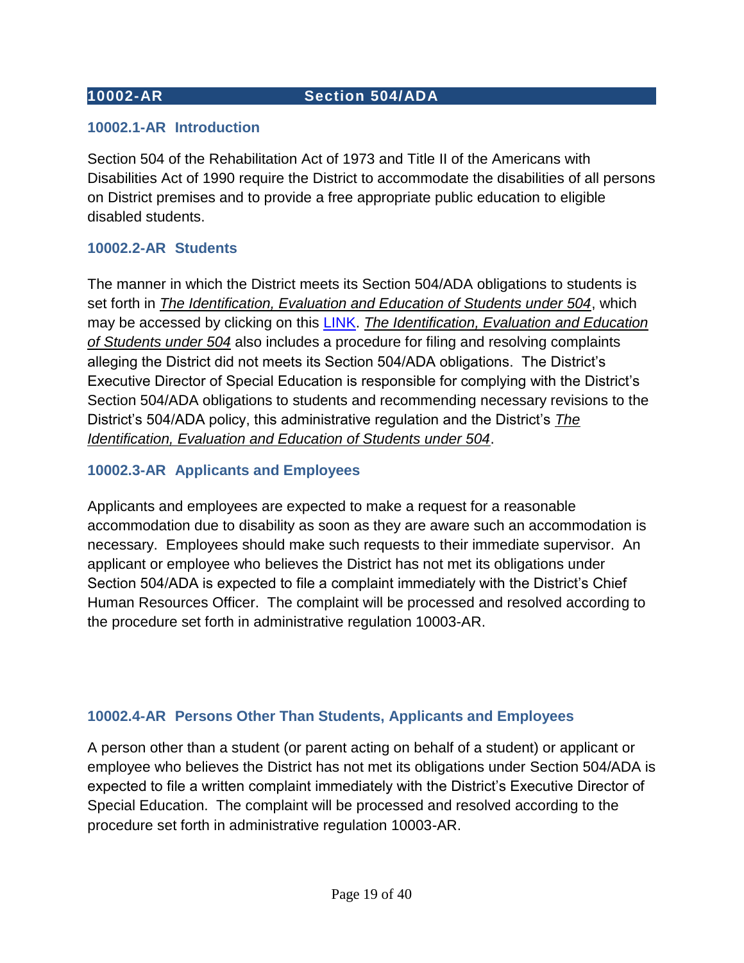#### <span id="page-18-0"></span>**10002-AR Section 504/ADA**

#### <span id="page-18-1"></span>**10002.1-AR Introduction**

Section 504 of the Rehabilitation Act of 1973 and Title II of the Americans with Disabilities Act of 1990 require the District to accommodate the disabilities of all persons on District premises and to provide a free appropriate public education to eligible disabled students.

#### <span id="page-18-2"></span>**10002.2-AR Students**

The manner in which the District meets its Section 504/ADA obligations to students is set forth in *The Identification, Evaluation and Education of Students under 504*, which may be accessed by clicking on this [LINK.](https://www.rochester.k12.mi.us/about-us/departments/human-resources/policies) *The Identification, Evaluation and Education of Students under 504* also includes a procedure for filing and resolving complaints alleging the District did not meets its Section 504/ADA obligations. The District's Executive Director of Special Education is responsible for complying with the District's Section 504/ADA obligations to students and recommending necessary revisions to the District's 504/ADA policy, this administrative regulation and the District's *The Identification, Evaluation and Education of Students under 504*.

#### <span id="page-18-3"></span>**10002.3-AR Applicants and Employees**

Applicants and employees are expected to make a request for a reasonable accommodation due to disability as soon as they are aware such an accommodation is necessary. Employees should make such requests to their immediate supervisor. An applicant or employee who believes the District has not met its obligations under Section 504/ADA is expected to file a complaint immediately with the District's Chief Human Resources Officer. The complaint will be processed and resolved according to the procedure set forth in administrative regulation 10003-AR.

#### <span id="page-18-4"></span>**10002.4-AR Persons Other Than Students, Applicants and Employees**

A person other than a student (or parent acting on behalf of a student) or applicant or employee who believes the District has not met its obligations under Section 504/ADA is expected to file a written complaint immediately with the District's Executive Director of Special Education. The complaint will be processed and resolved according to the procedure set forth in administrative regulation 10003-AR.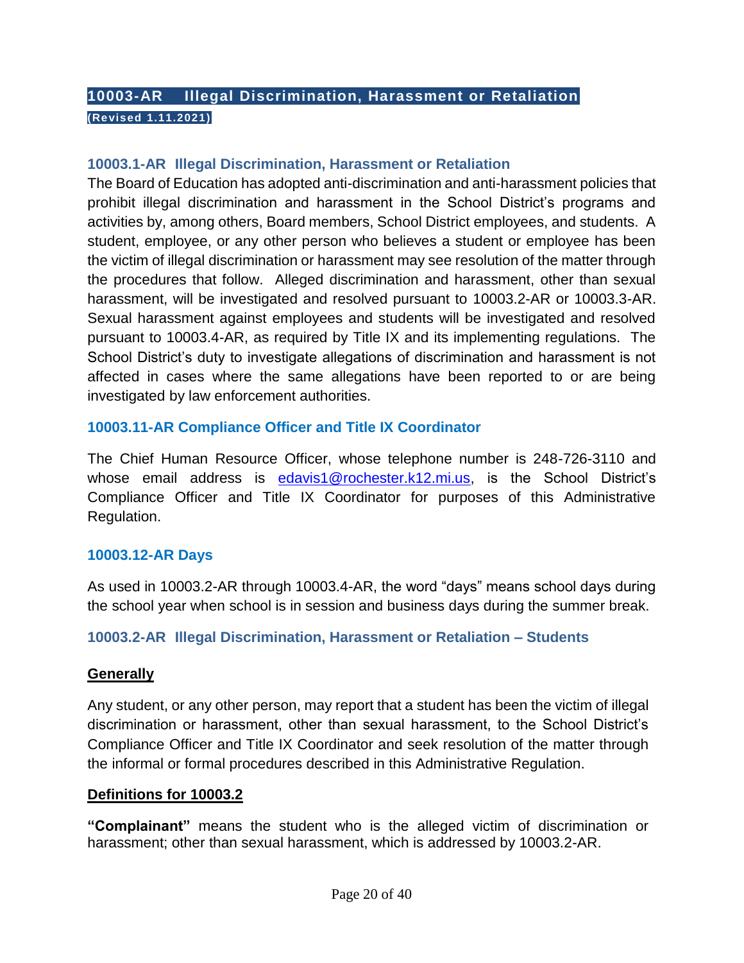# <span id="page-19-1"></span><span id="page-19-0"></span>**10003-AR Illegal Discrimination, Harassment or Retaliation (Revised 1.11.2021)**

#### <span id="page-19-2"></span>**10003.1-AR Illegal Discrimination, Harassment or Retaliation**

The Board of Education has adopted anti-discrimination and anti-harassment policies that prohibit illegal discrimination and harassment in the School District's programs and activities by, among others, Board members, School District employees, and students. A student, employee, or any other person who believes a student or employee has been the victim of illegal discrimination or harassment may see resolution of the matter through the procedures that follow. Alleged discrimination and harassment, other than sexual harassment, will be investigated and resolved pursuant to 10003.2-AR or 10003.3-AR. Sexual harassment against employees and students will be investigated and resolved pursuant to 10003.4-AR, as required by Title IX and its implementing regulations. The School District's duty to investigate allegations of discrimination and harassment is not affected in cases where the same allegations have been reported to or are being investigated by law enforcement authorities.

#### **10003.11-AR Compliance Officer and Title IX Coordinator**

The Chief Human Resource Officer, whose telephone number is 248-726-3110 and whose email address is [edavis1@rochester.k12.mi.us,](mailto:edavis1@rochester.k12.mi.us) is the School District's Compliance Officer and Title IX Coordinator for purposes of this Administrative Regulation.

## **10003.12-AR Days**

As used in 10003.2-AR through 10003.4-AR, the word "days" means school days during the school year when school is in session and business days during the summer break.

## <span id="page-19-3"></span>**10003.2-AR Illegal Discrimination, Harassment or Retaliation – Students**

#### **Generally**

Any student, or any other person, may report that a student has been the victim of illegal discrimination or harassment, other than sexual harassment, to the School District's Compliance Officer and Title IX Coordinator and seek resolution of the matter through the informal or formal procedures described in this Administrative Regulation.

#### **Definitions for 10003.2**

**"Complainant"** means the student who is the alleged victim of discrimination or harassment; other than sexual harassment, which is addressed by 10003.2-AR.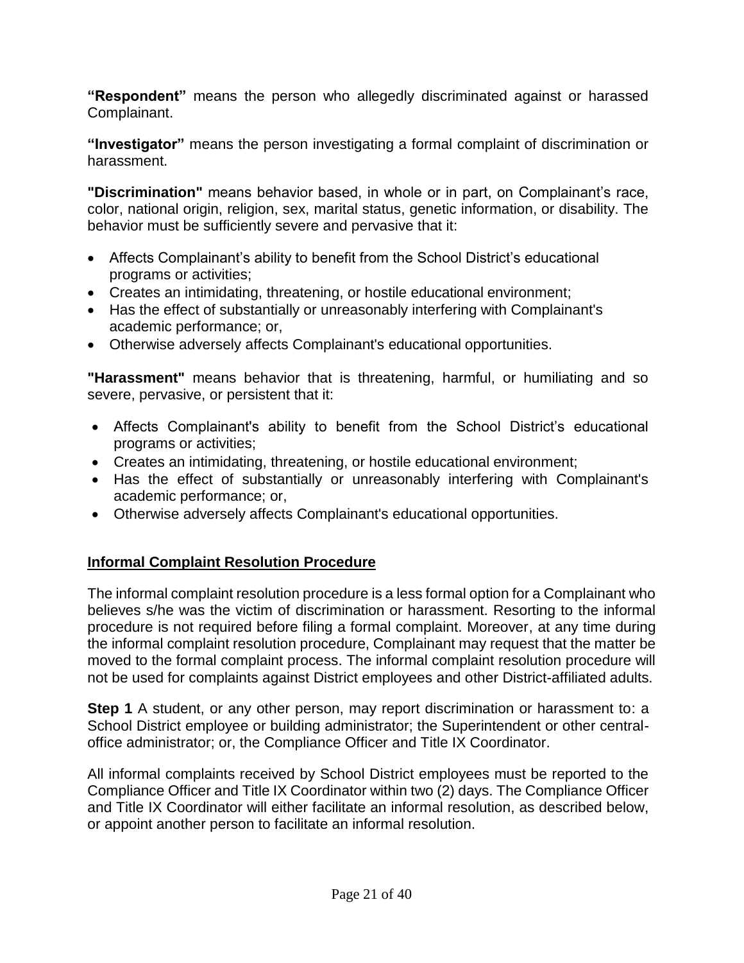**"Respondent"** means the person who allegedly discriminated against or harassed Complainant.

**"Investigator"** means the person investigating a formal complaint of discrimination or harassment.

**"Discrimination"** means behavior based, in whole or in part, on Complainant's race, color, national origin, religion, sex, marital status, genetic information, or disability. The behavior must be sufficiently severe and pervasive that it:

- Affects Complainant's ability to benefit from the School District's educational programs or activities;
- Creates an intimidating, threatening, or hostile educational environment;
- Has the effect of substantially or unreasonably interfering with Complainant's academic performance; or,
- Otherwise adversely affects Complainant's educational opportunities.

**"Harassment"** means behavior that is threatening, harmful, or humiliating and so severe, pervasive, or persistent that it:

- Affects Complainant's ability to benefit from the School District's educational programs or activities;
- Creates an intimidating, threatening, or hostile educational environment;
- Has the effect of substantially or unreasonably interfering with Complainant's academic performance; or,
- Otherwise adversely affects Complainant's educational opportunities.

## **Informal Complaint Resolution Procedure**

The informal complaint resolution procedure is a less formal option for a Complainant who believes s/he was the victim of discrimination or harassment. Resorting to the informal procedure is not required before filing a formal complaint. Moreover, at any time during the informal complaint resolution procedure, Complainant may request that the matter be moved to the formal complaint process. The informal complaint resolution procedure will not be used for complaints against District employees and other District-affiliated adults.

**Step 1** A student, or any other person, may report discrimination or harassment to: a School District employee or building administrator; the Superintendent or other centraloffice administrator; or, the Compliance Officer and Title IX Coordinator.

All informal complaints received by School District employees must be reported to the Compliance Officer and Title IX Coordinator within two (2) days. The Compliance Officer and Title IX Coordinator will either facilitate an informal resolution, as described below, or appoint another person to facilitate an informal resolution.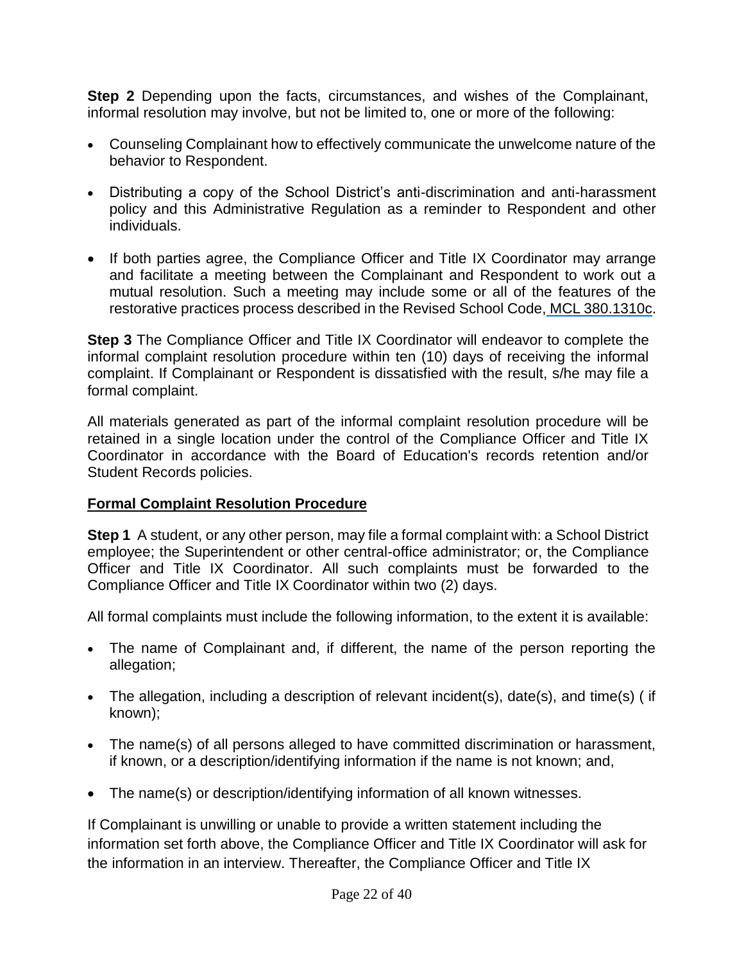**Step 2** Depending upon the facts, circumstances, and wishes of the Complainant, informal resolution may involve, but not be limited to, one or more of the following:

- Counseling Complainant how to effectively communicate the unwelcome nature of the behavior to Respondent.
- Distributing a copy of the School District's anti-discrimination and anti-harassment policy and this Administrative Regulation as a reminder to Respondent and other individuals.
- If both parties agree, the Compliance Officer and Title IX Coordinator may arrange and facilitate a meeting between the Complainant and Respondent to work out a mutual resolution. Such a meeting may include some or all of the features of the restorative practices process described in the Revised School Code, MCL [380.1310c.](http://legislature.mi.gov/doc.aspx?mcl-380-1310c)

**Step 3** The Compliance Officer and Title IX Coordinator will endeavor to complete the informal complaint resolution procedure within ten (10) days of receiving the informal complaint. If Complainant or Respondent is dissatisfied with the result, s/he may file a formal complaint.

All materials generated as part of the informal complaint resolution procedure will be retained in a single location under the control of the Compliance Officer and Title IX Coordinator in accordance with the Board of Education's records retention and/or Student Records policies.

## **Formal Complaint Resolution Procedure**

**Step 1** A student, or any other person, may file a formal complaint with: a School District employee; the Superintendent or other central-office administrator; or, the Compliance Officer and Title IX Coordinator. All such complaints must be forwarded to the Compliance Officer and Title IX Coordinator within two (2) days.

All formal complaints must include the following information, to the extent it is available:

- The name of Complainant and, if different, the name of the person reporting the allegation;
- The allegation, including a description of relevant incident(s), date(s), and time(s) (if known);
- The name(s) of all persons alleged to have committed discrimination or harassment, if known, or a description/identifying information if the name is not known; and,
- The name(s) or description/identifying information of all known witnesses.

If Complainant is unwilling or unable to provide a written statement including the information set forth above, the Compliance Officer and Title IX Coordinator will ask for the information in an interview. Thereafter, the Compliance Officer and Title IX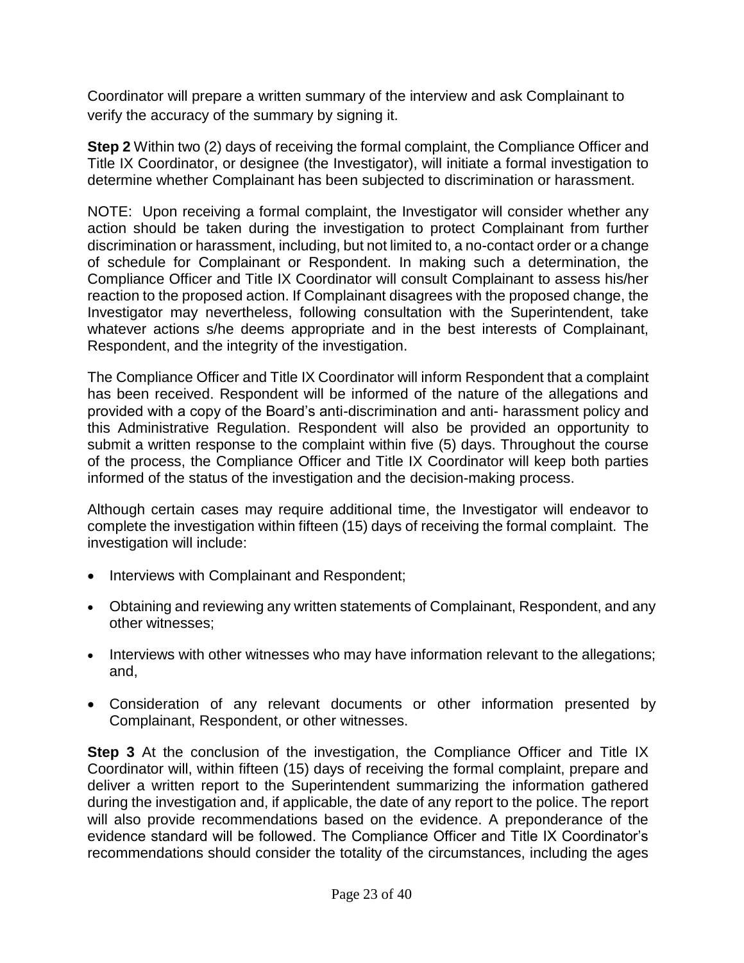Coordinator will prepare a written summary of the interview and ask Complainant to verify the accuracy of the summary by signing it.

**Step 2** Within two (2) days of receiving the formal complaint, the Compliance Officer and Title IX Coordinator, or designee (the Investigator), will initiate a formal investigation to determine whether Complainant has been subjected to discrimination or harassment.

NOTE: Upon receiving a formal complaint, the Investigator will consider whether any action should be taken during the investigation to protect Complainant from further discrimination or harassment, including, but not limited to, a no-contact order or a change of schedule for Complainant or Respondent. In making such a determination, the Compliance Officer and Title IX Coordinator will consult Complainant to assess his/her reaction to the proposed action. If Complainant disagrees with the proposed change, the Investigator may nevertheless, following consultation with the Superintendent, take whatever actions s/he deems appropriate and in the best interests of Complainant, Respondent, and the integrity of the investigation.

The Compliance Officer and Title IX Coordinator will inform Respondent that a complaint has been received. Respondent will be informed of the nature of the allegations and provided with a copy of the Board's anti-discrimination and anti- harassment policy and this Administrative Regulation. Respondent will also be provided an opportunity to submit a written response to the complaint within five (5) days. Throughout the course of the process, the Compliance Officer and Title IX Coordinator will keep both parties informed of the status of the investigation and the decision-making process.

Although certain cases may require additional time, the Investigator will endeavor to complete the investigation within fifteen (15) days of receiving the formal complaint. The investigation will include:

- Interviews with Complainant and Respondent;
- Obtaining and reviewing any written statements of Complainant, Respondent, and any other witnesses;
- Interviews with other witnesses who may have information relevant to the allegations; and,
- Consideration of any relevant documents or other information presented by Complainant, Respondent, or other witnesses.

**Step 3** At the conclusion of the investigation, the Compliance Officer and Title IX Coordinator will, within fifteen (15) days of receiving the formal complaint, prepare and deliver a written report to the Superintendent summarizing the information gathered during the investigation and, if applicable, the date of any report to the police. The report will also provide recommendations based on the evidence. A preponderance of the evidence standard will be followed. The Compliance Officer and Title IX Coordinator's recommendations should consider the totality of the circumstances, including the ages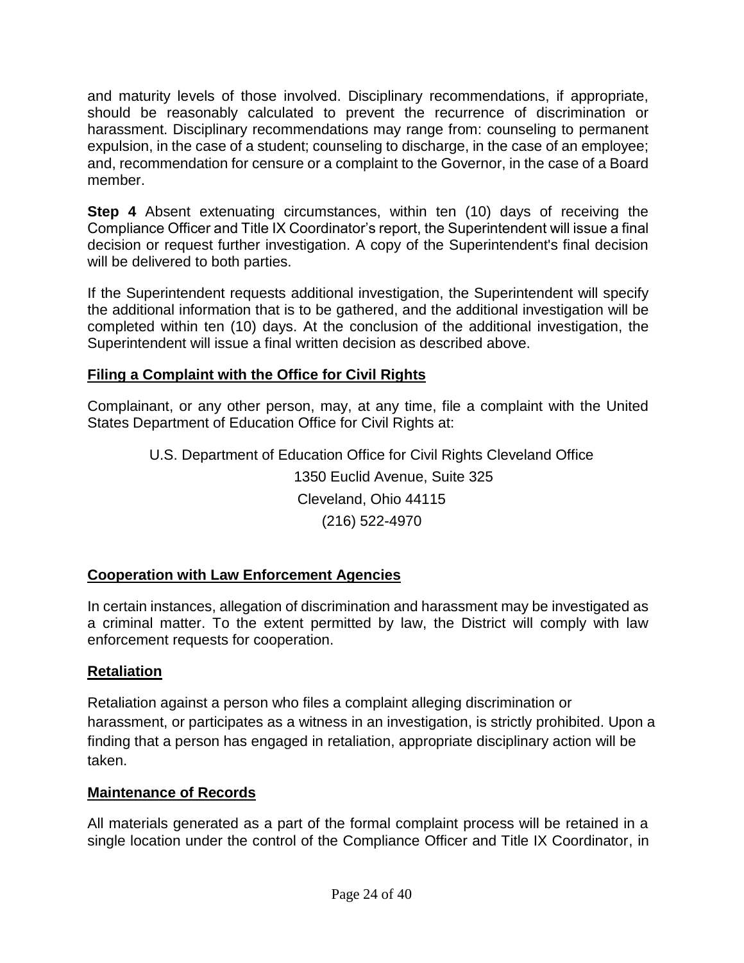and maturity levels of those involved. Disciplinary recommendations, if appropriate, should be reasonably calculated to prevent the recurrence of discrimination or harassment. Disciplinary recommendations may range from: counseling to permanent expulsion, in the case of a student; counseling to discharge, in the case of an employee; and, recommendation for censure or a complaint to the Governor, in the case of a Board member.

**Step 4** Absent extenuating circumstances, within ten (10) days of receiving the Compliance Officer and Title IX Coordinator's report, the Superintendent will issue a final decision or request further investigation. A copy of the Superintendent's final decision will be delivered to both parties.

If the Superintendent requests additional investigation, the Superintendent will specify the additional information that is to be gathered, and the additional investigation will be completed within ten (10) days. At the conclusion of the additional investigation, the Superintendent will issue a final written decision as described above.

## **Filing a Complaint with the Office for Civil Rights**

Complainant, or any other person, may, at any time, file a complaint with the United States Department of Education Office for Civil Rights at:

> U.S. Department of Education Office for Civil Rights Cleveland Office 1350 Euclid Avenue, Suite 325 Cleveland, Ohio 44115 (216) 522-4970

## **Cooperation with Law Enforcement Agencies**

In certain instances, allegation of discrimination and harassment may be investigated as a criminal matter. To the extent permitted by law, the District will comply with law enforcement requests for cooperation.

#### **Retaliation**

Retaliation against a person who files a complaint alleging discrimination or harassment, or participates as a witness in an investigation, is strictly prohibited. Upon a finding that a person has engaged in retaliation, appropriate disciplinary action will be taken.

#### **Maintenance of Records**

All materials generated as a part of the formal complaint process will be retained in a single location under the control of the Compliance Officer and Title IX Coordinator, in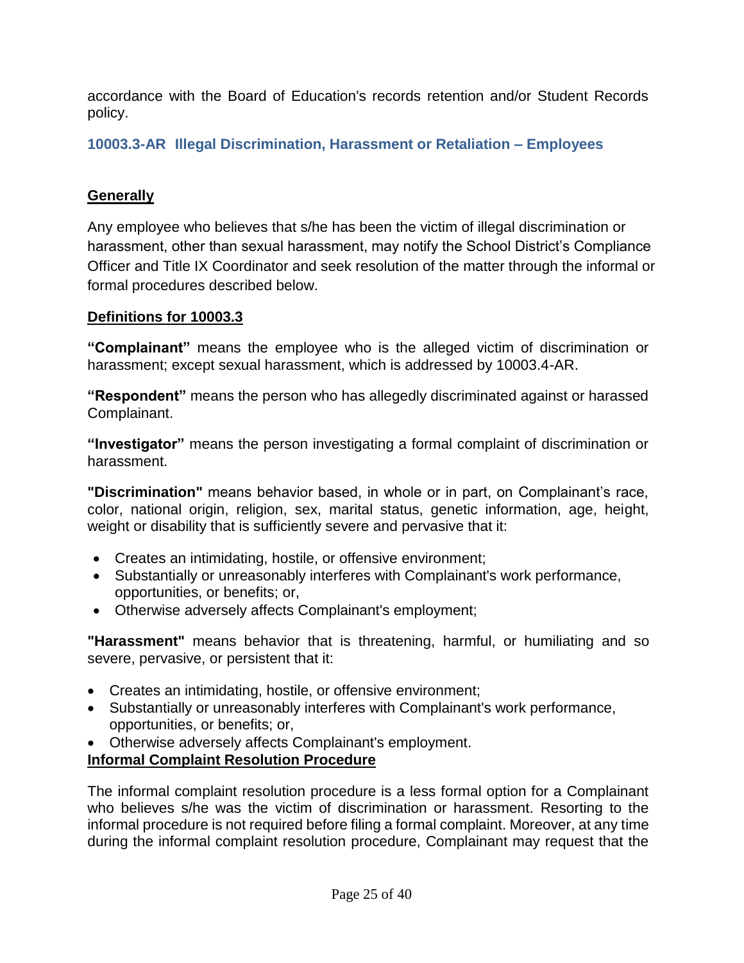accordance with the Board of Education's records retention and/or Student Records policy.

<span id="page-24-0"></span>**10003.3-AR Illegal Discrimination, Harassment or Retaliation – Employees**

## **Generally**

Any employee who believes that s/he has been the victim of illegal discrimination or harassment, other than sexual harassment, may notify the School District's Compliance Officer and Title IX Coordinator and seek resolution of the matter through the informal or formal procedures described below.

## **Definitions for 10003.3**

**"Complainant"** means the employee who is the alleged victim of discrimination or harassment; except sexual harassment, which is addressed by 10003.4-AR.

**"Respondent"** means the person who has allegedly discriminated against or harassed Complainant.

**"Investigator"** means the person investigating a formal complaint of discrimination or harassment.

**"Discrimination"** means behavior based, in whole or in part, on Complainant's race, color, national origin, religion, sex, marital status, genetic information, age, height, weight or disability that is sufficiently severe and pervasive that it:

- Creates an intimidating, hostile, or offensive environment;
- Substantially or unreasonably interferes with Complainant's work performance, opportunities, or benefits; or,
- Otherwise adversely affects Complainant's employment;

**"Harassment"** means behavior that is threatening, harmful, or humiliating and so severe, pervasive, or persistent that it:

- Creates an intimidating, hostile, or offensive environment;
- Substantially or unreasonably interferes with Complainant's work performance, opportunities, or benefits; or,
- Otherwise adversely affects Complainant's employment.

## **Informal Complaint Resolution Procedure**

The informal complaint resolution procedure is a less formal option for a Complainant who believes s/he was the victim of discrimination or harassment. Resorting to the informal procedure is not required before filing a formal complaint. Moreover, at any time during the informal complaint resolution procedure, Complainant may request that the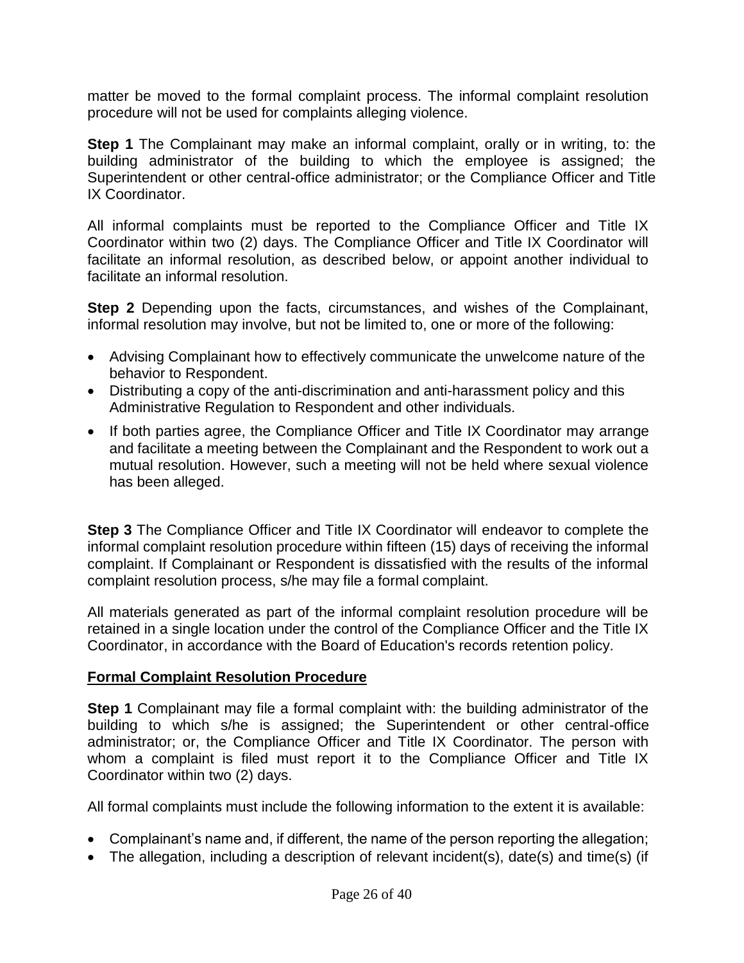matter be moved to the formal complaint process. The informal complaint resolution procedure will not be used for complaints alleging violence.

**Step 1** The Complainant may make an informal complaint, orally or in writing, to: the building administrator of the building to which the employee is assigned; the Superintendent or other central-office administrator; or the Compliance Officer and Title IX Coordinator.

All informal complaints must be reported to the Compliance Officer and Title IX Coordinator within two (2) days. The Compliance Officer and Title IX Coordinator will facilitate an informal resolution, as described below, or appoint another individual to facilitate an informal resolution.

**Step 2** Depending upon the facts, circumstances, and wishes of the Complainant, informal resolution may involve, but not be limited to, one or more of the following:

- Advising Complainant how to effectively communicate the unwelcome nature of the behavior to Respondent.
- Distributing a copy of the anti-discrimination and anti-harassment policy and this Administrative Regulation to Respondent and other individuals.
- If both parties agree, the Compliance Officer and Title IX Coordinator may arrange and facilitate a meeting between the Complainant and the Respondent to work out a mutual resolution. However, such a meeting will not be held where sexual violence has been alleged.

**Step 3** The Compliance Officer and Title IX Coordinator will endeavor to complete the informal complaint resolution procedure within fifteen (15) days of receiving the informal complaint. If Complainant or Respondent is dissatisfied with the results of the informal complaint resolution process, s/he may file a formal complaint.

All materials generated as part of the informal complaint resolution procedure will be retained in a single location under the control of the Compliance Officer and the Title IX Coordinator, in accordance with the Board of Education's records retention policy.

## **Formal Complaint Resolution Procedure**

**Step 1** Complainant may file a formal complaint with: the building administrator of the building to which s/he is assigned; the Superintendent or other central-office administrator; or, the Compliance Officer and Title IX Coordinator. The person with whom a complaint is filed must report it to the Compliance Officer and Title IX Coordinator within two (2) days.

All formal complaints must include the following information to the extent it is available:

- Complainant's name and, if different, the name of the person reporting the allegation;
- The allegation, including a description of relevant incident(s), date(s) and time(s) (if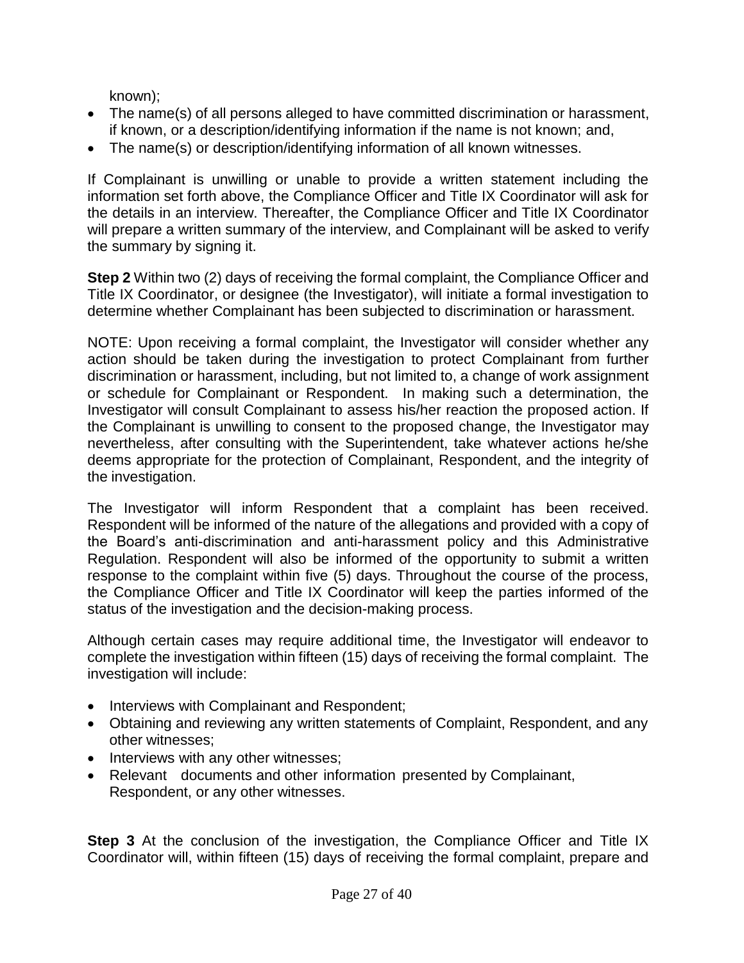known);

- The name(s) of all persons alleged to have committed discrimination or harassment, if known, or a description/identifying information if the name is not known; and,
- The name(s) or description/identifying information of all known witnesses.

If Complainant is unwilling or unable to provide a written statement including the information set forth above, the Compliance Officer and Title IX Coordinator will ask for the details in an interview. Thereafter, the Compliance Officer and Title IX Coordinator will prepare a written summary of the interview, and Complainant will be asked to verify the summary by signing it.

**Step 2** Within two (2) days of receiving the formal complaint, the Compliance Officer and Title IX Coordinator, or designee (the Investigator), will initiate a formal investigation to determine whether Complainant has been subjected to discrimination or harassment.

NOTE: Upon receiving a formal complaint, the Investigator will consider whether any action should be taken during the investigation to protect Complainant from further discrimination or harassment, including, but not limited to, a change of work assignment or schedule for Complainant or Respondent. In making such a determination, the Investigator will consult Complainant to assess his/her reaction the proposed action. If the Complainant is unwilling to consent to the proposed change, the Investigator may nevertheless, after consulting with the Superintendent, take whatever actions he/she deems appropriate for the protection of Complainant, Respondent, and the integrity of the investigation.

The Investigator will inform Respondent that a complaint has been received. Respondent will be informed of the nature of the allegations and provided with a copy of the Board's anti-discrimination and anti-harassment policy and this Administrative Regulation. Respondent will also be informed of the opportunity to submit a written response to the complaint within five (5) days. Throughout the course of the process, the Compliance Officer and Title IX Coordinator will keep the parties informed of the status of the investigation and the decision-making process.

Although certain cases may require additional time, the Investigator will endeavor to complete the investigation within fifteen (15) days of receiving the formal complaint. The investigation will include:

- Interviews with Complainant and Respondent;
- Obtaining and reviewing any written statements of Complaint, Respondent, and any other witnesses;
- Interviews with any other witnesses;
- Relevant documents and other information presented by Complainant, Respondent, or any other witnesses.

**Step 3** At the conclusion of the investigation, the Compliance Officer and Title IX Coordinator will, within fifteen (15) days of receiving the formal complaint, prepare and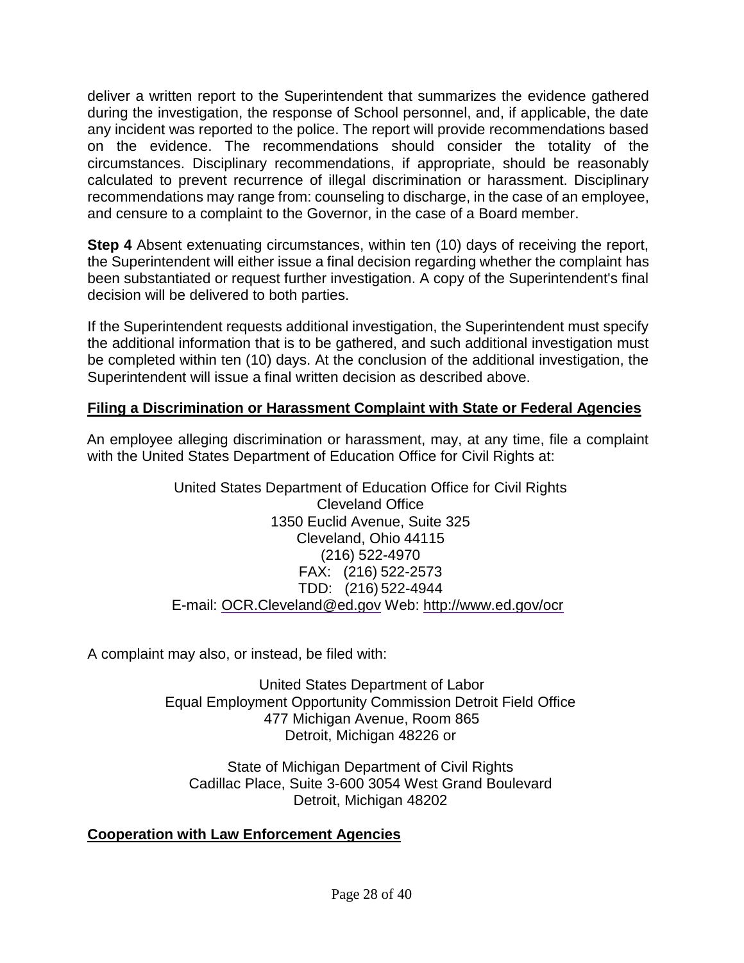deliver a written report to the Superintendent that summarizes the evidence gathered during the investigation, the response of School personnel, and, if applicable, the date any incident was reported to the police. The report will provide recommendations based on the evidence. The recommendations should consider the totality of the circumstances. Disciplinary recommendations, if appropriate, should be reasonably calculated to prevent recurrence of illegal discrimination or harassment. Disciplinary recommendations may range from: counseling to discharge, in the case of an employee, and censure to a complaint to the Governor, in the case of a Board member.

**Step 4** Absent extenuating circumstances, within ten (10) days of receiving the report, the Superintendent will either issue a final decision regarding whether the complaint has been substantiated or request further investigation. A copy of the Superintendent's final decision will be delivered to both parties.

If the Superintendent requests additional investigation, the Superintendent must specify the additional information that is to be gathered, and such additional investigation must be completed within ten (10) days. At the conclusion of the additional investigation, the Superintendent will issue a final written decision as described above.

#### **Filing a Discrimination or Harassment Complaint with State or Federal Agencies**

An employee alleging discrimination or harassment, may, at any time, file a complaint with the United States Department of Education Office for Civil Rights at:

> United States Department of Education Office for Civil Rights Cleveland Office 1350 Euclid Avenue, Suite 325 Cleveland, Ohio 44115 (216) 522-4970 FAX: (216) 522-2573 TDD: (216) 522-4944 E-mail: [OCR.Cleveland@ed.gov](mailto:OCR.Cleveland@ed.gov) Web:<http://www.ed.gov/ocr>

A complaint may also, or instead, be filed with:

United States Department of Labor Equal Employment Opportunity Commission Detroit Field Office 477 Michigan Avenue, Room 865 Detroit, Michigan 48226 or

State of Michigan Department of Civil Rights Cadillac Place, Suite 3-600 3054 West Grand Boulevard Detroit, Michigan 48202

#### **Cooperation with Law Enforcement Agencies**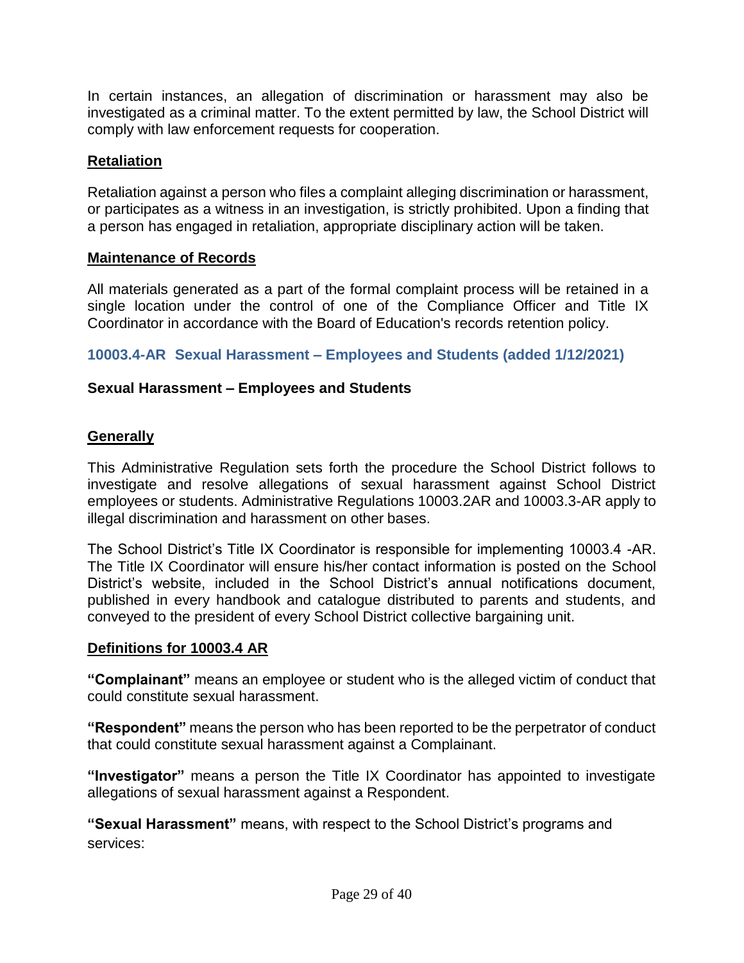In certain instances, an allegation of discrimination or harassment may also be investigated as a criminal matter. To the extent permitted by law, the School District will comply with law enforcement requests for cooperation.

#### **Retaliation**

Retaliation against a person who files a complaint alleging discrimination or harassment, or participates as a witness in an investigation, is strictly prohibited. Upon a finding that a person has engaged in retaliation, appropriate disciplinary action will be taken.

## **Maintenance of Records**

All materials generated as a part of the formal complaint process will be retained in a single location under the control of one of the Compliance Officer and Title IX Coordinator in accordance with the Board of Education's records retention policy.

<span id="page-28-0"></span>**10003.4-AR Sexual Harassment – Employees and Students (added 1/12/2021)**

## <span id="page-28-1"></span>**Sexual Harassment – Employees and Students**

# **Generally**

This Administrative Regulation sets forth the procedure the School District follows to investigate and resolve allegations of sexual harassment against School District employees or students. Administrative Regulations 10003.2AR and 10003.3-AR apply to illegal discrimination and harassment on other bases.

The School District's Title IX Coordinator is responsible for implementing 10003.4 -AR. The Title IX Coordinator will ensure his/her contact information is posted on the School District's website, included in the School District's annual notifications document, published in every handbook and catalogue distributed to parents and students, and conveyed to the president of every School District collective bargaining unit.

## **Definitions for 10003.4 AR**

**"Complainant"** means an employee or student who is the alleged victim of conduct that could constitute sexual harassment.

**"Respondent"** means the person who has been reported to be the perpetrator of conduct that could constitute sexual harassment against a Complainant.

**"Investigator"** means a person the Title IX Coordinator has appointed to investigate allegations of sexual harassment against a Respondent.

**"Sexual Harassment"** means, with respect to the School District's programs and services: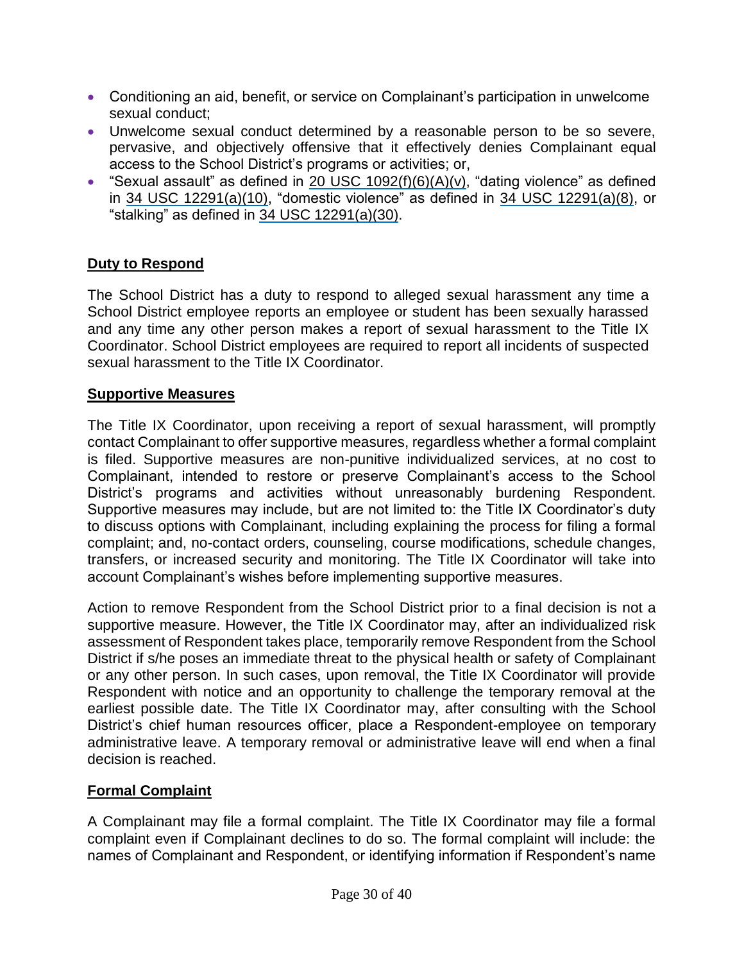- Conditioning an aid, benefit, or service on Complainant's participation in unwelcome sexual conduct;
- Unwelcome sexual conduct determined by a reasonable person to be so severe, pervasive, and objectively offensive that it effectively denies Complainant equal access to the School District's programs or activities; or,
- "Sexual assault" as defined in [20 USC 1092\(f\)\(6\)\(A\)\(v\),](https://www.govinfo.gov/content/pkg/USCODE-2019-title20/pdf/USCODE-2019-title20-chap28-subchapIV-partG-sec1092.pdf) "dating violence" as defined in [34 USC 12291\(a\)\(10\),](https://www.govinfo.gov/content/pkg/USCODE-2018-title34/pdf/USCODE-2018-title34-subtitleI-chap121-subchapIII-sec12291.pdf) "domestic violence" as defined in [34 USC](https://www.govinfo.gov/app/details/USCODE-2018-title34/USCODE-2018-title34-subtitleI-chap121-subchapIII-sec12291/) [12291\(a\)\(8\),](https://www.govinfo.gov/app/details/USCODE-2018-title34/USCODE-2018-title34-subtitleI-chap121-subchapIII-sec12291/) or "stalking" as defined in 34 USC [12291\(a\)\(30\).](https://www.govinfo.gov/content/pkg/USCODE-2018-title34/pdf/USCODE-2018-title34-subtitleI-chap121-subchapIII-sec12291.pdf)

# **Duty to Respond**

The School District has a duty to respond to alleged sexual harassment any time a School District employee reports an employee or student has been sexually harassed and any time any other person makes a report of sexual harassment to the Title IX Coordinator. School District employees are required to report all incidents of suspected sexual harassment to the Title IX Coordinator.

#### **Supportive Measures**

The Title IX Coordinator, upon receiving a report of sexual harassment, will promptly contact Complainant to offer supportive measures, regardless whether a formal complaint is filed. Supportive measures are non-punitive individualized services, at no cost to Complainant, intended to restore or preserve Complainant's access to the School District's programs and activities without unreasonably burdening Respondent. Supportive measures may include, but are not limited to: the Title IX Coordinator's duty to discuss options with Complainant, including explaining the process for filing a formal complaint; and, no-contact orders, counseling, course modifications, schedule changes, transfers, or increased security and monitoring. The Title IX Coordinator will take into account Complainant's wishes before implementing supportive measures.

Action to remove Respondent from the School District prior to a final decision is not a supportive measure. However, the Title IX Coordinator may, after an individualized risk assessment of Respondent takes place, temporarily remove Respondent from the School District if s/he poses an immediate threat to the physical health or safety of Complainant or any other person. In such cases, upon removal, the Title IX Coordinator will provide Respondent with notice and an opportunity to challenge the temporary removal at the earliest possible date. The Title IX Coordinator may, after consulting with the School District's chief human resources officer, place a Respondent-employee on temporary administrative leave. A temporary removal or administrative leave will end when a final decision is reached.

#### **Formal Complaint**

A Complainant may file a formal complaint. The Title IX Coordinator may file a formal complaint even if Complainant declines to do so. The formal complaint will include: the names of Complainant and Respondent, or identifying information if Respondent's name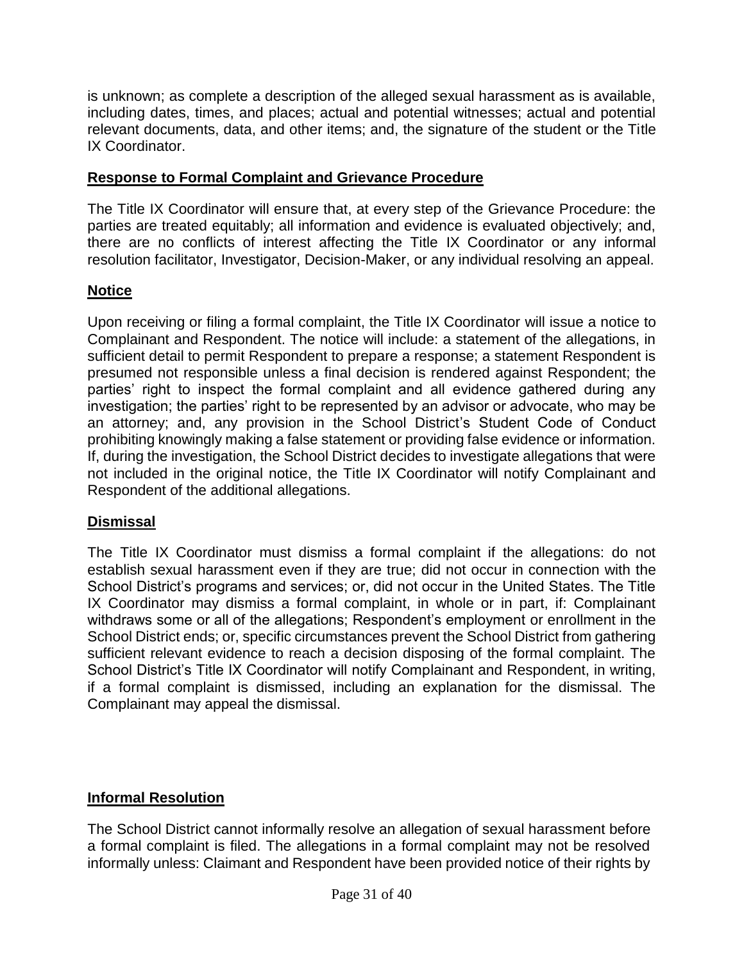is unknown; as complete a description of the alleged sexual harassment as is available, including dates, times, and places; actual and potential witnesses; actual and potential relevant documents, data, and other items; and, the signature of the student or the Title IX Coordinator.

## **Response to Formal Complaint and Grievance Procedure**

The Title IX Coordinator will ensure that, at every step of the Grievance Procedure: the parties are treated equitably; all information and evidence is evaluated objectively; and, there are no conflicts of interest affecting the Title IX Coordinator or any informal resolution facilitator, Investigator, Decision-Maker, or any individual resolving an appeal.

## **Notice**

Upon receiving or filing a formal complaint, the Title IX Coordinator will issue a notice to Complainant and Respondent. The notice will include: a statement of the allegations, in sufficient detail to permit Respondent to prepare a response; a statement Respondent is presumed not responsible unless a final decision is rendered against Respondent; the parties' right to inspect the formal complaint and all evidence gathered during any investigation; the parties' right to be represented by an advisor or advocate, who may be an attorney; and, any provision in the School District's Student Code of Conduct prohibiting knowingly making a false statement or providing false evidence or information. If, during the investigation, the School District decides to investigate allegations that were not included in the original notice, the Title IX Coordinator will notify Complainant and Respondent of the additional allegations.

## **Dismissal**

The Title IX Coordinator must dismiss a formal complaint if the allegations: do not establish sexual harassment even if they are true; did not occur in connection with the School District's programs and services; or, did not occur in the United States. The Title IX Coordinator may dismiss a formal complaint, in whole or in part, if: Complainant withdraws some or all of the allegations; Respondent's employment or enrollment in the School District ends; or, specific circumstances prevent the School District from gathering sufficient relevant evidence to reach a decision disposing of the formal complaint. The School District's Title IX Coordinator will notify Complainant and Respondent, in writing, if a formal complaint is dismissed, including an explanation for the dismissal. The Complainant may appeal the dismissal.

## **Informal Resolution**

The School District cannot informally resolve an allegation of sexual harassment before a formal complaint is filed. The allegations in a formal complaint may not be resolved informally unless: Claimant and Respondent have been provided notice of their rights by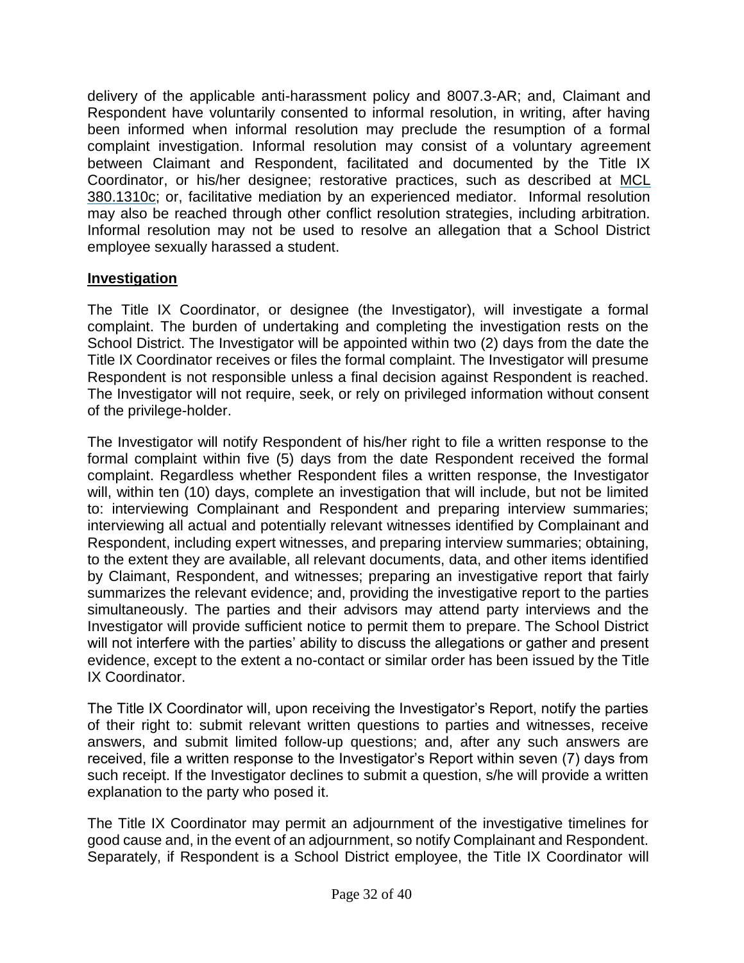delivery of the applicable anti-harassment policy and 8007.3-AR; and, Claimant and Respondent have voluntarily consented to informal resolution, in writing, after having been informed when informal resolution may preclude the resumption of a formal complaint investigation. Informal resolution may consist of a voluntary agreement between Claimant and Respondent, facilitated and documented by the Title IX Coordinator, or his/her designee; restorative practices, such as described at [MCL](http://legislature.mi.gov/doc.aspx?mcl-380-1310c)  [380.1310c;](http://legislature.mi.gov/doc.aspx?mcl-380-1310c) or, facilitative mediation by an experienced mediator. Informal resolution may also be reached through other conflict resolution strategies, including arbitration. Informal resolution may not be used to resolve an allegation that a School District employee sexually harassed a student.

#### **Investigation**

The Title IX Coordinator, or designee (the Investigator), will investigate a formal complaint. The burden of undertaking and completing the investigation rests on the School District. The Investigator will be appointed within two (2) days from the date the Title IX Coordinator receives or files the formal complaint. The Investigator will presume Respondent is not responsible unless a final decision against Respondent is reached. The Investigator will not require, seek, or rely on privileged information without consent of the privilege-holder.

The Investigator will notify Respondent of his/her right to file a written response to the formal complaint within five (5) days from the date Respondent received the formal complaint. Regardless whether Respondent files a written response, the Investigator will, within ten (10) days, complete an investigation that will include, but not be limited to: interviewing Complainant and Respondent and preparing interview summaries; interviewing all actual and potentially relevant witnesses identified by Complainant and Respondent, including expert witnesses, and preparing interview summaries; obtaining, to the extent they are available, all relevant documents, data, and other items identified by Claimant, Respondent, and witnesses; preparing an investigative report that fairly summarizes the relevant evidence; and, providing the investigative report to the parties simultaneously. The parties and their advisors may attend party interviews and the Investigator will provide sufficient notice to permit them to prepare. The School District will not interfere with the parties' ability to discuss the allegations or gather and present evidence, except to the extent a no-contact or similar order has been issued by the Title IX Coordinator.

The Title IX Coordinator will, upon receiving the Investigator's Report, notify the parties of their right to: submit relevant written questions to parties and witnesses, receive answers, and submit limited follow-up questions; and, after any such answers are received, file a written response to the Investigator's Report within seven (7) days from such receipt. If the Investigator declines to submit a question, s/he will provide a written explanation to the party who posed it.

The Title IX Coordinator may permit an adjournment of the investigative timelines for good cause and, in the event of an adjournment, so notify Complainant and Respondent. Separately, if Respondent is a School District employee, the Title IX Coordinator will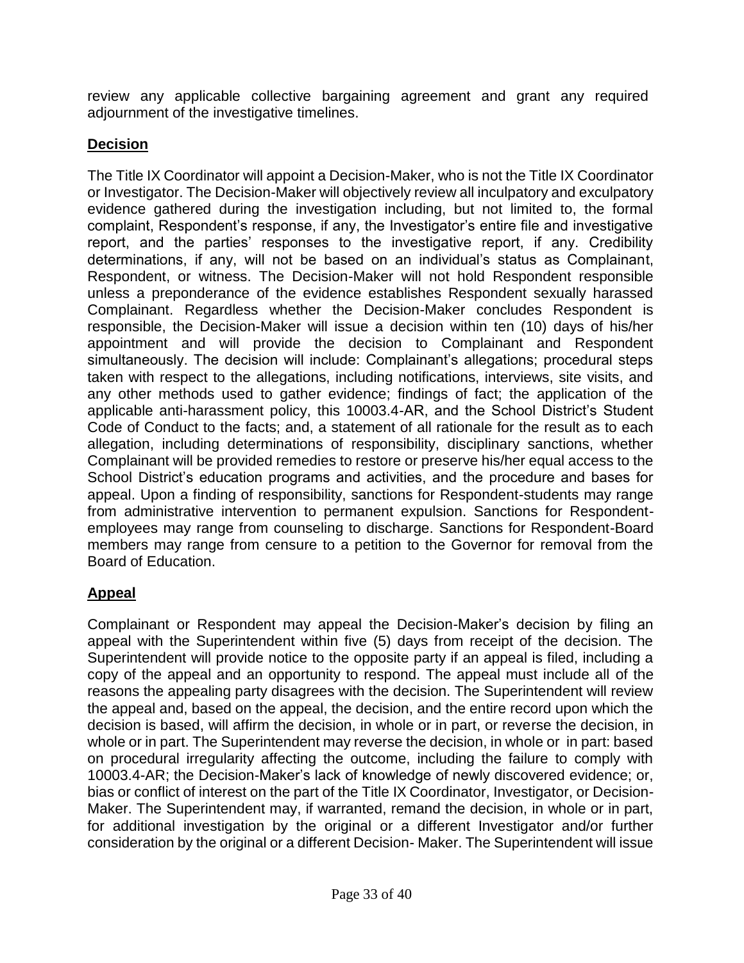review any applicable collective bargaining agreement and grant any required adjournment of the investigative timelines.

## **Decision**

The Title IX Coordinator will appoint a Decision-Maker, who is not the Title IX Coordinator or Investigator. The Decision-Maker will objectively review all inculpatory and exculpatory evidence gathered during the investigation including, but not limited to, the formal complaint, Respondent's response, if any, the Investigator's entire file and investigative report, and the parties' responses to the investigative report, if any. Credibility determinations, if any, will not be based on an individual's status as Complainant, Respondent, or witness. The Decision-Maker will not hold Respondent responsible unless a preponderance of the evidence establishes Respondent sexually harassed Complainant. Regardless whether the Decision-Maker concludes Respondent is responsible, the Decision-Maker will issue a decision within ten (10) days of his/her appointment and will provide the decision to Complainant and Respondent simultaneously. The decision will include: Complainant's allegations; procedural steps taken with respect to the allegations, including notifications, interviews, site visits, and any other methods used to gather evidence; findings of fact; the application of the applicable anti-harassment policy, this 10003.4-AR, and the School District's Student Code of Conduct to the facts; and, a statement of all rationale for the result as to each allegation, including determinations of responsibility, disciplinary sanctions, whether Complainant will be provided remedies to restore or preserve his/her equal access to the School District's education programs and activities, and the procedure and bases for appeal. Upon a finding of responsibility, sanctions for Respondent-students may range from administrative intervention to permanent expulsion. Sanctions for Respondentemployees may range from counseling to discharge. Sanctions for Respondent-Board members may range from censure to a petition to the Governor for removal from the Board of Education.

## **Appeal**

Complainant or Respondent may appeal the Decision-Maker's decision by filing an appeal with the Superintendent within five (5) days from receipt of the decision. The Superintendent will provide notice to the opposite party if an appeal is filed, including a copy of the appeal and an opportunity to respond. The appeal must include all of the reasons the appealing party disagrees with the decision. The Superintendent will review the appeal and, based on the appeal, the decision, and the entire record upon which the decision is based, will affirm the decision, in whole or in part, or reverse the decision, in whole or in part. The Superintendent may reverse the decision, in whole or in part: based on procedural irregularity affecting the outcome, including the failure to comply with 10003.4-AR; the Decision-Maker's lack of knowledge of newly discovered evidence; or, bias or conflict of interest on the part of the Title IX Coordinator, Investigator, or Decision-Maker. The Superintendent may, if warranted, remand the decision, in whole or in part, for additional investigation by the original or a different Investigator and/or further consideration by the original or a different Decision- Maker. The Superintendent will issue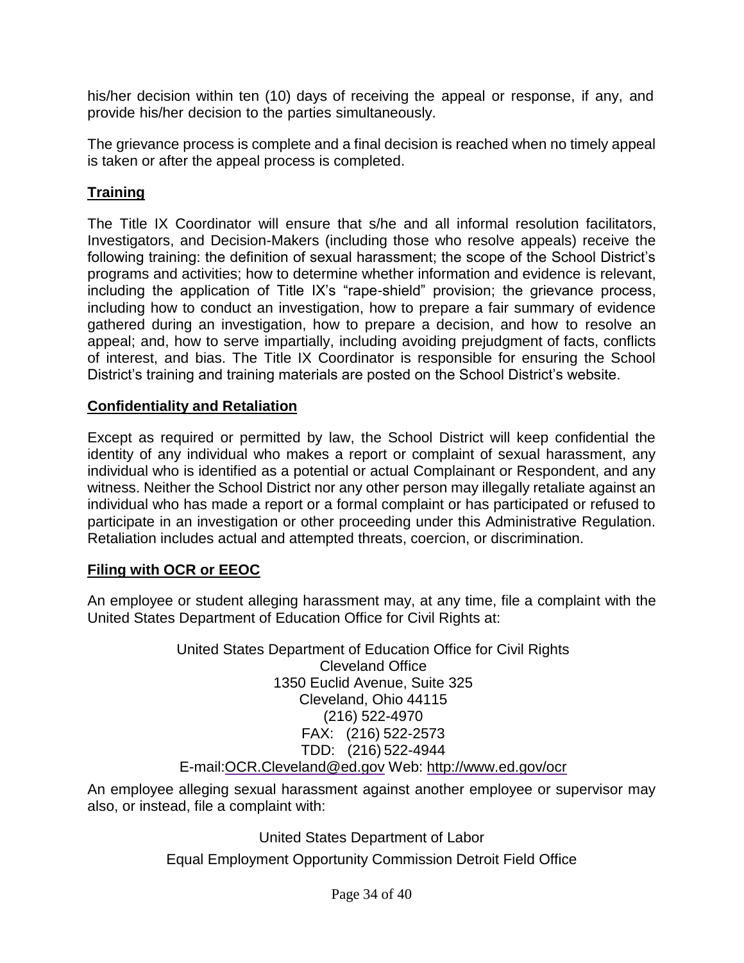his/her decision within ten (10) days of receiving the appeal or response, if any, and provide his/her decision to the parties simultaneously.

The grievance process is complete and a final decision is reached when no timely appeal is taken or after the appeal process is completed.

# **Training**

The Title IX Coordinator will ensure that s/he and all informal resolution facilitators, Investigators, and Decision-Makers (including those who resolve appeals) receive the following training: the definition of sexual harassment; the scope of the School District's programs and activities; how to determine whether information and evidence is relevant, including the application of Title IX's "rape-shield" provision; the grievance process, including how to conduct an investigation, how to prepare a fair summary of evidence gathered during an investigation, how to prepare a decision, and how to resolve an appeal; and, how to serve impartially, including avoiding prejudgment of facts, conflicts of interest, and bias. The Title IX Coordinator is responsible for ensuring the School District's training and training materials are posted on the School District's website.

## **Confidentiality and Retaliation**

Except as required or permitted by law, the School District will keep confidential the identity of any individual who makes a report or complaint of sexual harassment, any individual who is identified as a potential or actual Complainant or Respondent, and any witness. Neither the School District nor any other person may illegally retaliate against an individual who has made a report or a formal complaint or has participated or refused to participate in an investigation or other proceeding under this Administrative Regulation. Retaliation includes actual and attempted threats, coercion, or discrimination.

#### **Filing with OCR or EEOC**

An employee or student alleging harassment may, at any time, file a complaint with the United States Department of Education Office for Civil Rights at:

> United States Department of Education Office for Civil Rights Cleveland Office 1350 Euclid Avenue, Suite 325 Cleveland, Ohio 44115 (216) 522-4970 FAX: (216) 522-2573 TDD: (216) 522-4944 E-mail[:OCR.Cleveland@ed.gov](mailto:OCR.Cleveland@ed.gov) Web:<http://www.ed.gov/ocr>

An employee alleging sexual harassment against another employee or supervisor may also, or instead, file a complaint with:

United States Department of Labor

Equal Employment Opportunity Commission Detroit Field Office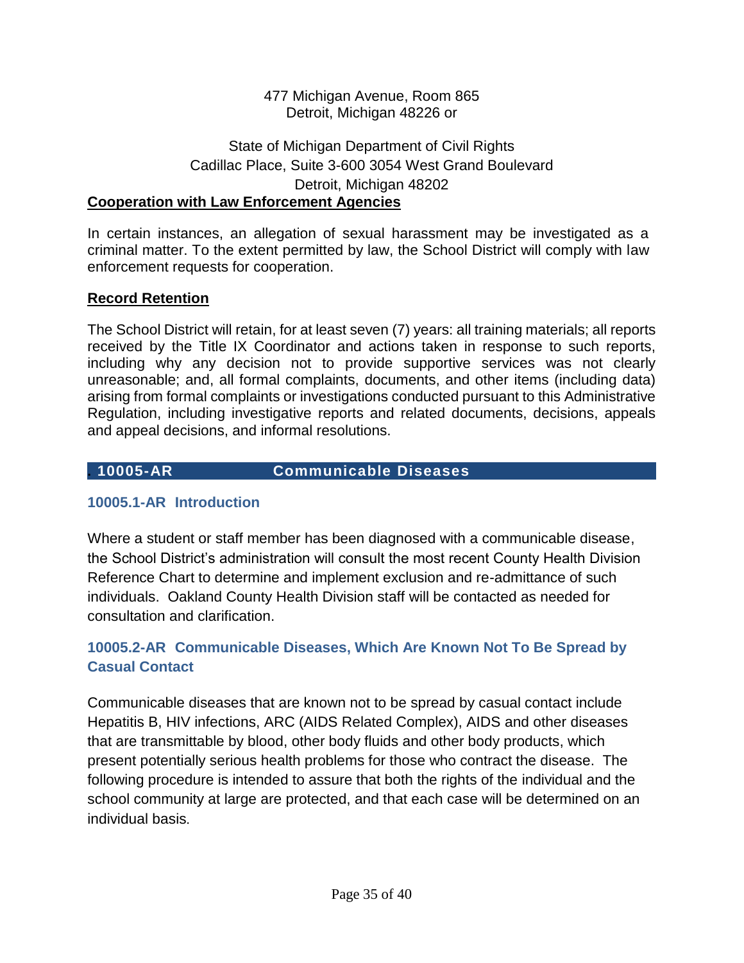#### 477 Michigan Avenue, Room 865 Detroit, Michigan 48226 or

#### State of Michigan Department of Civil Rights Cadillac Place, Suite 3-600 3054 West Grand Boulevard Detroit, Michigan 48202 **Cooperation with Law Enforcement Agencies**

In certain instances, an allegation of sexual harassment may be investigated as a criminal matter. To the extent permitted by law, the School District will comply with law enforcement requests for cooperation.

#### **Record Retention**

The School District will retain, for at least seven (7) years: all training materials; all reports received by the Title IX Coordinator and actions taken in response to such reports, including why any decision not to provide supportive services was not clearly unreasonable; and, all formal complaints, documents, and other items (including data) arising from formal complaints or investigations conducted pursuant to this Administrative Regulation, including investigative reports and related documents, decisions, appeals and appeal decisions, and informal resolutions.

#### <span id="page-34-0"></span>**. 10005-AR Communicable Diseases**

#### <span id="page-34-1"></span>**10005.1-AR Introduction**

Where a student or staff member has been diagnosed with a communicable disease, the School District's administration will consult the most recent County Health Division Reference Chart to determine and implement exclusion and re-admittance of such individuals. Oakland County Health Division staff will be contacted as needed for consultation and clarification.

# <span id="page-34-2"></span>**10005.2-AR Communicable Diseases, Which Are Known Not To Be Spread by Casual Contact**

Communicable diseases that are known not to be spread by casual contact include Hepatitis B, HIV infections, ARC (AIDS Related Complex), AIDS and other diseases that are transmittable by blood, other body fluids and other body products, which present potentially serious health problems for those who contract the disease. The following procedure is intended to assure that both the rights of the individual and the school community at large are protected, and that each case will be determined on an individual basis.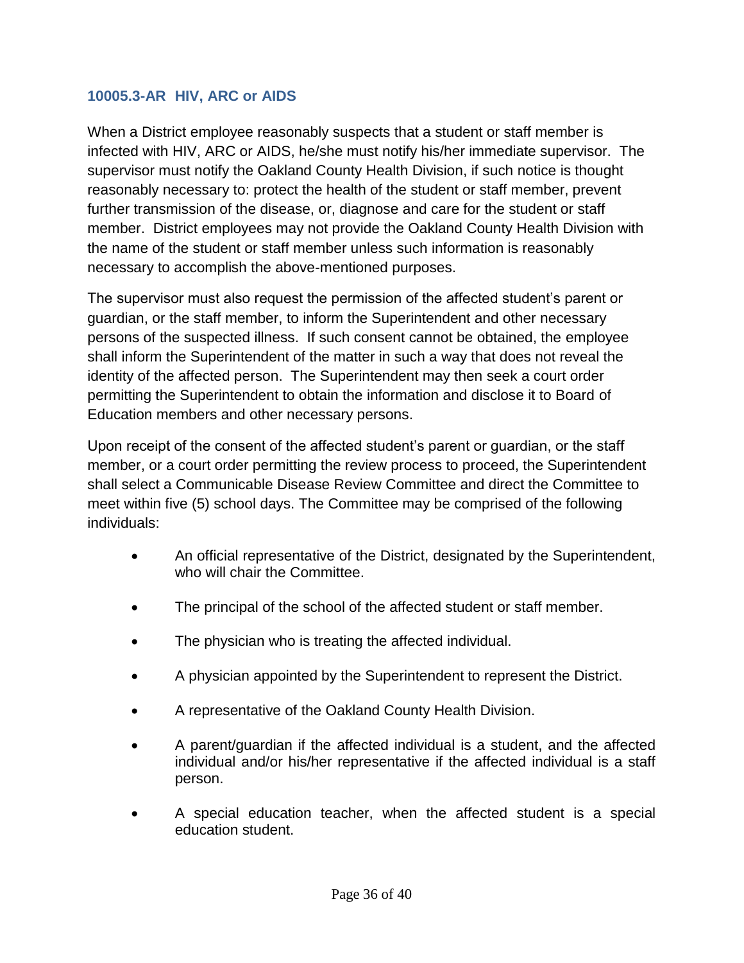#### <span id="page-35-0"></span>**10005.3-AR HIV, ARC or AIDS**

When a District employee reasonably suspects that a student or staff member is infected with HIV, ARC or AIDS, he/she must notify his/her immediate supervisor. The supervisor must notify the Oakland County Health Division, if such notice is thought reasonably necessary to: protect the health of the student or staff member, prevent further transmission of the disease, or, diagnose and care for the student or staff member. District employees may not provide the Oakland County Health Division with the name of the student or staff member unless such information is reasonably necessary to accomplish the above-mentioned purposes.

The supervisor must also request the permission of the affected student's parent or guardian, or the staff member, to inform the Superintendent and other necessary persons of the suspected illness. If such consent cannot be obtained, the employee shall inform the Superintendent of the matter in such a way that does not reveal the identity of the affected person. The Superintendent may then seek a court order permitting the Superintendent to obtain the information and disclose it to Board of Education members and other necessary persons.

Upon receipt of the consent of the affected student's parent or guardian, or the staff member, or a court order permitting the review process to proceed, the Superintendent shall select a Communicable Disease Review Committee and direct the Committee to meet within five (5) school days. The Committee may be comprised of the following individuals:

- An official representative of the District, designated by the Superintendent, who will chair the Committee.
- The principal of the school of the affected student or staff member.
- The physician who is treating the affected individual.
- A physician appointed by the Superintendent to represent the District.
- A representative of the Oakland County Health Division.
- A parent/guardian if the affected individual is a student, and the affected individual and/or his/her representative if the affected individual is a staff person.
- A special education teacher, when the affected student is a special education student.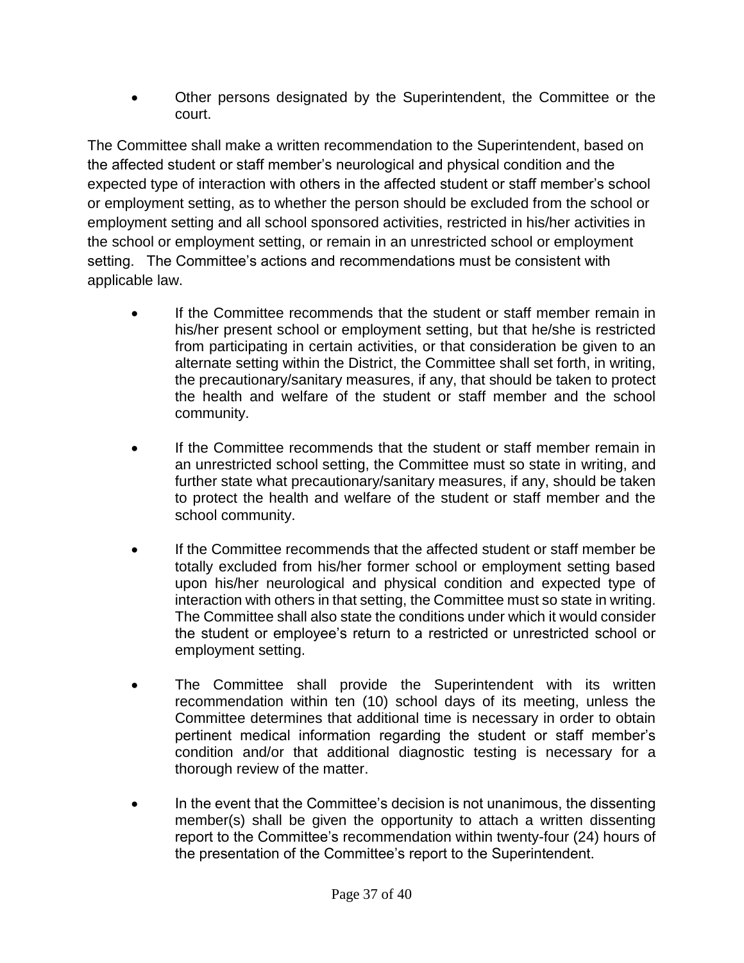Other persons designated by the Superintendent, the Committee or the court.

The Committee shall make a written recommendation to the Superintendent, based on the affected student or staff member's neurological and physical condition and the expected type of interaction with others in the affected student or staff member's school or employment setting, as to whether the person should be excluded from the school or employment setting and all school sponsored activities, restricted in his/her activities in the school or employment setting, or remain in an unrestricted school or employment setting. The Committee's actions and recommendations must be consistent with applicable law.

- If the Committee recommends that the student or staff member remain in his/her present school or employment setting, but that he/she is restricted from participating in certain activities, or that consideration be given to an alternate setting within the District, the Committee shall set forth, in writing, the precautionary/sanitary measures, if any, that should be taken to protect the health and welfare of the student or staff member and the school community.
- If the Committee recommends that the student or staff member remain in an unrestricted school setting, the Committee must so state in writing, and further state what precautionary/sanitary measures, if any, should be taken to protect the health and welfare of the student or staff member and the school community.
- If the Committee recommends that the affected student or staff member be totally excluded from his/her former school or employment setting based upon his/her neurological and physical condition and expected type of interaction with others in that setting, the Committee must so state in writing. The Committee shall also state the conditions under which it would consider the student or employee's return to a restricted or unrestricted school or employment setting.
- The Committee shall provide the Superintendent with its written recommendation within ten (10) school days of its meeting, unless the Committee determines that additional time is necessary in order to obtain pertinent medical information regarding the student or staff member's condition and/or that additional diagnostic testing is necessary for a thorough review of the matter.
- In the event that the Committee's decision is not unanimous, the dissenting member(s) shall be given the opportunity to attach a written dissenting report to the Committee's recommendation within twenty-four (24) hours of the presentation of the Committee's report to the Superintendent.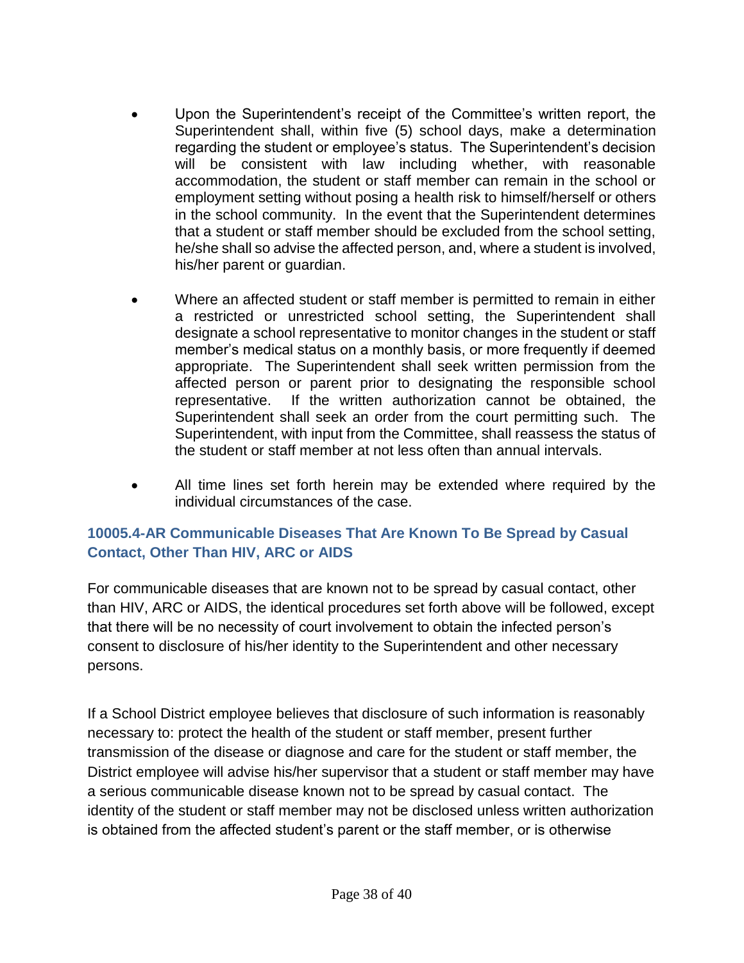- Upon the Superintendent's receipt of the Committee's written report, the Superintendent shall, within five (5) school days, make a determination regarding the student or employee's status. The Superintendent's decision will be consistent with law including whether, with reasonable accommodation, the student or staff member can remain in the school or employment setting without posing a health risk to himself/herself or others in the school community. In the event that the Superintendent determines that a student or staff member should be excluded from the school setting, he/she shall so advise the affected person, and, where a student is involved, his/her parent or guardian.
- Where an affected student or staff member is permitted to remain in either a restricted or unrestricted school setting, the Superintendent shall designate a school representative to monitor changes in the student or staff member's medical status on a monthly basis, or more frequently if deemed appropriate. The Superintendent shall seek written permission from the affected person or parent prior to designating the responsible school representative. If the written authorization cannot be obtained, the Superintendent shall seek an order from the court permitting such. The Superintendent, with input from the Committee, shall reassess the status of the student or staff member at not less often than annual intervals.
- All time lines set forth herein may be extended where required by the individual circumstances of the case.

## <span id="page-37-0"></span>**10005.4-AR Communicable Diseases That Are Known To Be Spread by Casual Contact, Other Than HIV, ARC or AIDS**

For communicable diseases that are known not to be spread by casual contact, other than HIV, ARC or AIDS, the identical procedures set forth above will be followed, except that there will be no necessity of court involvement to obtain the infected person's consent to disclosure of his/her identity to the Superintendent and other necessary persons.

If a School District employee believes that disclosure of such information is reasonably necessary to: protect the health of the student or staff member, present further transmission of the disease or diagnose and care for the student or staff member, the District employee will advise his/her supervisor that a student or staff member may have a serious communicable disease known not to be spread by casual contact. The identity of the student or staff member may not be disclosed unless written authorization is obtained from the affected student's parent or the staff member, or is otherwise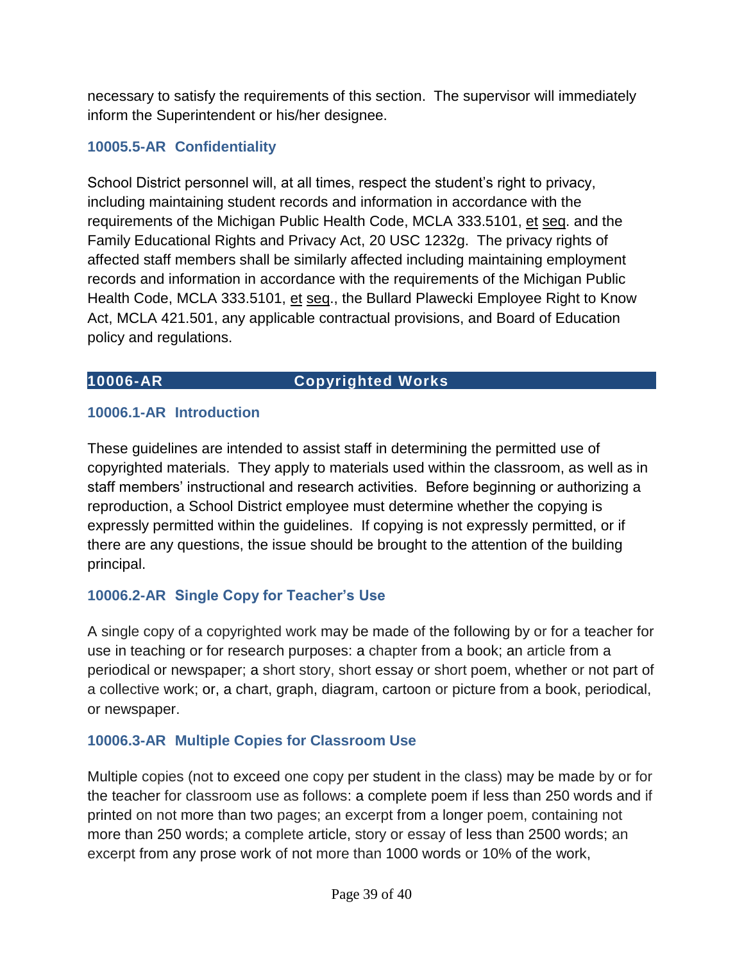necessary to satisfy the requirements of this section. The supervisor will immediately inform the Superintendent or his/her designee.

## <span id="page-38-0"></span>**10005.5-AR Confidentiality**

School District personnel will, at all times, respect the student's right to privacy, including maintaining student records and information in accordance with the requirements of the Michigan Public Health Code, MCLA 333.5101, et seq. and the Family Educational Rights and Privacy Act, 20 USC 1232g. The privacy rights of affected staff members shall be similarly affected including maintaining employment records and information in accordance with the requirements of the Michigan Public Health Code, MCLA 333.5101, et seq., the Bullard Plawecki Employee Right to Know Act, MCLA 421.501, any applicable contractual provisions, and Board of Education policy and regulations.

## <span id="page-38-1"></span>**10006-AR Copyrighted Works**

# <span id="page-38-2"></span>**10006.1-AR Introduction**

These guidelines are intended to assist staff in determining the permitted use of copyrighted materials. They apply to materials used within the classroom, as well as in staff members' instructional and research activities. Before beginning or authorizing a reproduction, a School District employee must determine whether the copying is expressly permitted within the guidelines. If copying is not expressly permitted, or if there are any questions, the issue should be brought to the attention of the building principal.

# <span id="page-38-3"></span>**10006.2-AR Single Copy for Teacher's Use**

A single copy of a copyrighted work may be made of the following by or for a teacher for use in teaching or for research purposes: a chapter from a book; an article from a periodical or newspaper; a short story, short essay or short poem, whether or not part of a collective work; or, a chart, graph, diagram, cartoon or picture from a book, periodical, or newspaper.

## <span id="page-38-4"></span>**10006.3-AR Multiple Copies for Classroom Use**

Multiple copies (not to exceed one copy per student in the class) may be made by or for the teacher for classroom use as follows: a complete poem if less than 250 words and if printed on not more than two pages; an excerpt from a longer poem, containing not more than 250 words; a complete article, story or essay of less than 2500 words; an excerpt from any prose work of not more than 1000 words or 10% of the work,